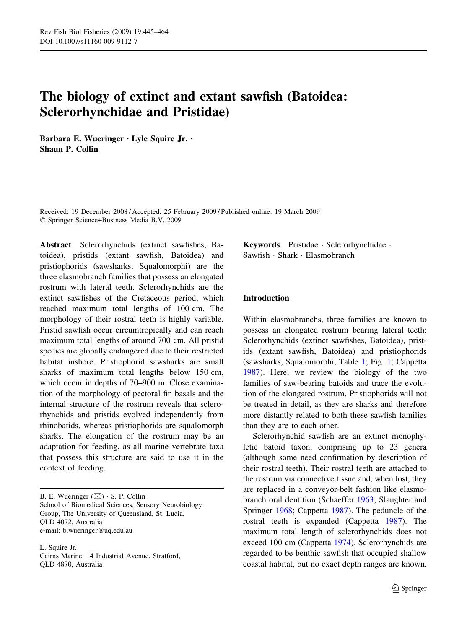# The biology of extinct and extant sawfish (Batoidea: Sclerorhynchidae and Pristidae)

Barbara E. Wueringer  $\cdot$  Lyle Squire Jr.  $\cdot$ Shaun P. Collin

Received: 19 December 2008 / Accepted: 25 February 2009 / Published online: 19 March 2009 Springer Science+Business Media B.V. 2009

Abstract Sclerorhynchids (extinct sawfishes, Batoidea), pristids (extant sawfish, Batoidea) and pristiophorids (sawsharks, Squalomorphi) are the three elasmobranch families that possess an elongated rostrum with lateral teeth. Sclerorhynchids are the extinct sawfishes of the Cretaceous period, which reached maximum total lengths of 100 cm. The morphology of their rostral teeth is highly variable. Pristid sawfish occur circumtropically and can reach maximum total lengths of around 700 cm. All pristid species are globally endangered due to their restricted habitat inshore. Pristiophorid sawsharks are small sharks of maximum total lengths below 150 cm, which occur in depths of 70–900 m. Close examination of the morphology of pectoral fin basals and the internal structure of the rostrum reveals that sclerorhynchids and pristids evolved independently from rhinobatids, whereas pristiophorids are squalomorph sharks. The elongation of the rostrum may be an adaptation for feeding, as all marine vertebrate taxa that possess this structure are said to use it in the context of feeding.

B. E. Wueringer  $(\boxtimes) \cdot$  S. P. Collin School of Biomedical Sciences, Sensory Neurobiology Group, The University of Queensland, St. Lucia, QLD 4072, Australia e-mail: b.wueringer@uq.edu.au

L. Squire Jr. Cairns Marine, 14 Industrial Avenue, Stratford, QLD 4870, Australia

Keywords Pristidae Sclerorhynchidae · Sawfish · Shark · Elasmobranch

## Introduction

Within elasmobranchs, three families are known to possess an elongated rostrum bearing lateral teeth: Sclerorhynchids (extinct sawfishes, Batoidea), pristids (extant sawfish, Batoidea) and pristiophorids (sawsharks, Squalomorphi, Table [1](#page-1-0); Fig. [1;](#page-1-0) Cappetta [1987\)](#page-16-0). Here, we review the biology of the two families of saw-bearing batoids and trace the evolution of the elongated rostrum. Pristiophorids will not be treated in detail, as they are sharks and therefore more distantly related to both these sawfish families than they are to each other.

Sclerorhynchid sawfish are an extinct monophyletic batoid taxon, comprising up to 23 genera (although some need confirmation by description of their rostral teeth). Their rostral teeth are attached to the rostrum via connective tissue and, when lost, they are replaced in a conveyor-belt fashion like elasmobranch oral dentition (Schaeffer [1963](#page-17-0); Slaughter and Springer [1968;](#page-18-0) Cappetta [1987](#page-16-0)). The peduncle of the rostral teeth is expanded (Cappetta [1987](#page-16-0)). The maximum total length of sclerorhynchids does not exceed 100 cm (Cappetta [1974](#page-16-0)). Sclerorhynchids are regarded to be benthic sawfish that occupied shallow coastal habitat, but no exact depth ranges are known.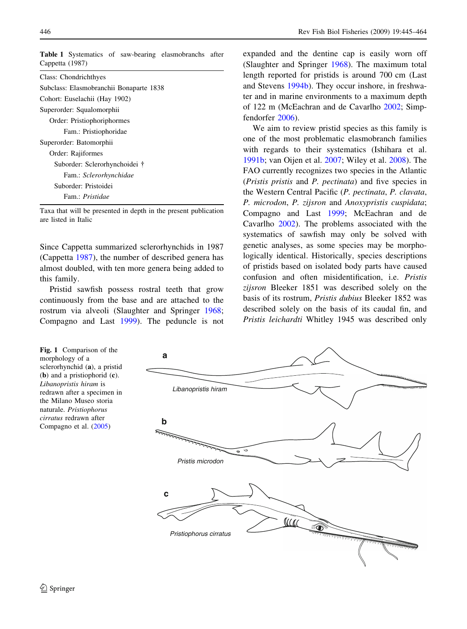| Cappetta (1987)                         |  |  |  |  |  |  |
|-----------------------------------------|--|--|--|--|--|--|
| Class: Chondrichthyes                   |  |  |  |  |  |  |
| Subclass: Elasmobranchii Bonaparte 1838 |  |  |  |  |  |  |
| Cohort: Euselachii (Hay 1902)           |  |  |  |  |  |  |
| Superorder: Squalomorphii               |  |  |  |  |  |  |
| Order: Pristiophoriphormes              |  |  |  |  |  |  |
| Fam.: Pristiophoridae                   |  |  |  |  |  |  |
| Superorder: Batomorphii                 |  |  |  |  |  |  |
| Order: Rajiformes                       |  |  |  |  |  |  |
| Suborder: Sclerorhynchoidei †           |  |  |  |  |  |  |
| Fam.: Sclerorhynchidae                  |  |  |  |  |  |  |
| Suborder: Pristoidei                    |  |  |  |  |  |  |
| Fam.: <i>Pristidae</i>                  |  |  |  |  |  |  |

<span id="page-1-0"></span>Table 1 Systematics of saw-bearing elasmobranchs after

Taxa that will be presented in depth in the present publication are listed in Italic

Since Cappetta summarized sclerorhynchids in 1987 (Cappetta [1987\)](#page-16-0), the number of described genera has almost doubled, with ten more genera being added to this family.

Pristid sawfish possess rostral teeth that grow continuously from the base and are attached to the rostrum via alveoli (Slaughter and Springer [1968](#page-18-0); Compagno and Last [1999\)](#page-16-0). The peduncle is not expanded and the dentine cap is easily worn off (Slaughter and Springer [1968\)](#page-18-0). The maximum total length reported for pristids is around 700 cm (Last and Stevens [1994b\)](#page-17-0). They occur inshore, in freshwater and in marine environments to a maximum depth of 122 m (McEachran and de Cavarlho [2002;](#page-17-0) Simpfendorfer [2006](#page-18-0)).

We aim to review pristid species as this family is one of the most problematic elasmobranch families with regards to their systematics (Ishihara et al. [1991b;](#page-17-0) van Oijen et al. [2007](#page-18-0); Wiley et al. [2008](#page-18-0)). The FAO currently recognizes two species in the Atlantic (Pristis pristis and P. pectinata) and five species in the Western Central Pacific (P. pectinata, P. clavata, P. microdon, P. zijsron and Anoxypristis cuspidata; Compagno and Last [1999;](#page-16-0) McEachran and de Cavarlho [2002](#page-17-0)). The problems associated with the systematics of sawfish may only be solved with genetic analyses, as some species may be morphologically identical. Historically, species descriptions of pristids based on isolated body parts have caused confusion and often misidentification, i.e. Pristis zijsron Bleeker 1851 was described solely on the basis of its rostrum, Pristis dubius Bleeker 1852 was described solely on the basis of its caudal fin, and Pristis leichardti Whitley 1945 was described only

Fig. 1 Comparison of the morphology of a sclerorhynchid (a), a pristid (b) and a pristiophorid (c). Libanopristis hiram is redrawn after a specimen in the Milano Museo storia naturale. Pristiophorus cirratus redrawn after Compagno et al. ([2005\)](#page-16-0)

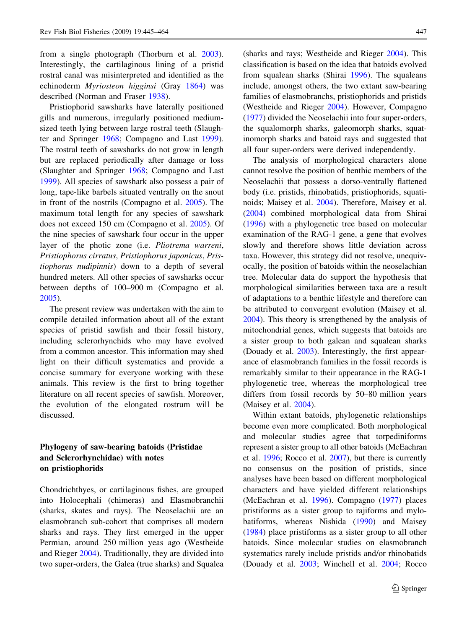from a single photograph (Thorburn et al. [2003](#page-18-0)). Interestingly, the cartilaginous lining of a pristid rostral canal was misinterpreted and identified as the echinoderm Myriosteon higginsi (Gray [1864\)](#page-16-0) was described (Norman and Fraser [1938\)](#page-17-0).

Pristiophorid sawsharks have laterally positioned gills and numerous, irregularly positioned mediumsized teeth lying between large rostral teeth (Slaughter and Springer [1968;](#page-18-0) Compagno and Last [1999](#page-16-0)). The rostral teeth of sawsharks do not grow in length but are replaced periodically after damage or loss (Slaughter and Springer [1968;](#page-18-0) Compagno and Last [1999\)](#page-16-0). All species of sawshark also possess a pair of long, tape-like barbels situated ventrally on the snout in front of the nostrils (Compagno et al. [2005](#page-16-0)). The maximum total length for any species of sawshark does not exceed 150 cm (Compagno et al. [2005\)](#page-16-0). Of the nine species of sawshark four occur in the upper layer of the photic zone (i.e. Pliotrema warreni, Pristiophorus cirratus, Pristiophorus japonicus, Pristiophorus nudipinnis) down to a depth of several hundred meters. All other species of sawsharks occur between depths of 100–900 m (Compagno et al. [2005\)](#page-16-0).

The present review was undertaken with the aim to compile detailed information about all of the extant species of pristid sawfish and their fossil history, including sclerorhynchids who may have evolved from a common ancestor. This information may shed light on their difficult systematics and provide a concise summary for everyone working with these animals. This review is the first to bring together literature on all recent species of sawfish. Moreover, the evolution of the elongated rostrum will be discussed.

# Phylogeny of saw-bearing batoids (Pristidae and Sclerorhynchidae) with notes on pristiophorids

Chondrichthyes, or cartilaginous fishes, are grouped into Holocephali (chimeras) and Elasmobranchii (sharks, skates and rays). The Neoselachii are an elasmobranch sub-cohort that comprises all modern sharks and rays. They first emerged in the upper Permian, around 250 million yeas ago (Westheide and Rieger [2004](#page-18-0)). Traditionally, they are divided into two super-orders, the Galea (true sharks) and Squalea (sharks and rays; Westheide and Rieger [2004](#page-18-0)). This classification is based on the idea that batoids evolved from squalean sharks (Shirai [1996\)](#page-18-0). The squaleans include, amongst others, the two extant saw-bearing families of elasmobranchs, pristiophorids and pristids (Westheide and Rieger [2004\)](#page-18-0). However, Compagno [\(1977](#page-16-0)) divided the Neoselachii into four super-orders, the squalomorph sharks, galeomorph sharks, squatinomorph sharks and batoid rays and suggested that all four super-orders were derived independently.

The analysis of morphological characters alone cannot resolve the position of benthic members of the Neoselachii that possess a dorso-ventrally flattened body (i.e. pristids, rhinobatids, pristiophorids, squatinoids; Maisey et al. [2004\)](#page-17-0). Therefore, Maisey et al. [\(2004](#page-17-0)) combined morphological data from Shirai [\(1996](#page-18-0)) with a phylogenetic tree based on molecular examination of the RAG-1 gene, a gene that evolves slowly and therefore shows little deviation across taxa. However, this strategy did not resolve, unequivocally, the position of batoids within the neoselachian tree. Molecular data do support the hypothesis that morphological similarities between taxa are a result of adaptations to a benthic lifestyle and therefore can be attributed to convergent evolution (Maisey et al. [2004\)](#page-17-0). This theory is strengthened by the analysis of mitochondrial genes, which suggests that batoids are a sister group to both galean and squalean sharks (Douady et al. [2003](#page-16-0)). Interestingly, the first appearance of elasmobranch families in the fossil records is remarkably similar to their appearance in the RAG-1 phylogenetic tree, whereas the morphological tree differs from fossil records by 50–80 million years (Maisey et al. [2004\)](#page-17-0).

Within extant batoids, phylogenetic relationships become even more complicated. Both morphological and molecular studies agree that torpediniforms represent a sister group to all other batoids (McEachran et al. [1996](#page-17-0); Rocco et al. [2007](#page-17-0)), but there is currently no consensus on the position of pristids, since analyses have been based on different morphological characters and have yielded different relationships (McEachran et al. [1996](#page-17-0)). Compagno [\(1977](#page-16-0)) places pristiforms as a sister group to rajiforms and mylobatiforms, whereas Nishida [\(1990\)](#page-17-0) and Maisey [\(1984](#page-17-0)) place pristiforms as a sister group to all other batoids. Since molecular studies on elasmobranch systematics rarely include pristids and/or rhinobatids (Douady et al. [2003](#page-16-0); Winchell et al. [2004](#page-19-0); Rocco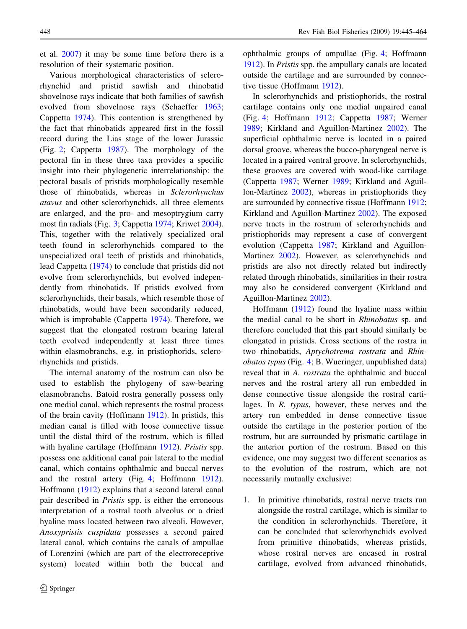et al. [2007](#page-17-0)) it may be some time before there is a resolution of their systematic position.

Various morphological characteristics of sclerorhynchid and pristid sawfish and rhinobatid shovelnose rays indicate that both families of sawfish evolved from shovelnose rays (Schaeffer [1963](#page-17-0); Cappetta [1974\)](#page-16-0). This contention is strengthened by the fact that rhinobatids appeared first in the fossil record during the Lias stage of the lower Jurassic (Fig. [2](#page-4-0); Cappetta [1987\)](#page-16-0). The morphology of the pectoral fin in these three taxa provides a specific insight into their phylogenetic interrelationship: the pectoral basals of pristids morphologically resemble those of rhinobatids, whereas in Sclerorhynchus atavus and other sclerorhynchids, all three elements are enlarged, and the pro- and mesoptrygium carry most fin radials (Fig. [3;](#page-5-0) Cappetta [1974](#page-16-0); Kriwet [2004](#page-17-0)). This, together with the relatively specialized oral teeth found in sclerorhynchids compared to the unspecialized oral teeth of pristids and rhinobatids, lead Cappetta [\(1974](#page-16-0)) to conclude that pristids did not evolve from sclerorhynchids, but evolved independently from rhinobatids. If pristids evolved from sclerorhynchids, their basals, which resemble those of rhinobatids, would have been secondarily reduced, which is improbable (Cappetta [1974\)](#page-16-0). Therefore, we suggest that the elongated rostrum bearing lateral teeth evolved independently at least three times within elasmobranchs, e.g. in pristiophorids, sclerorhynchids and pristids.

The internal anatomy of the rostrum can also be used to establish the phylogeny of saw-bearing elasmobranchs. Batoid rostra generally possess only one medial canal, which represents the rostral process of the brain cavity (Hoffmann [1912](#page-17-0)). In pristids, this median canal is filled with loose connective tissue until the distal third of the rostrum, which is filled with hyaline cartilage (Hoffmann [1912\)](#page-17-0). Pristis spp. possess one additional canal pair lateral to the medial canal, which contains ophthalmic and buccal nerves and the rostral artery (Fig. [4](#page-6-0); Hoffmann [1912](#page-17-0)). Hoffmann [\(1912](#page-17-0)) explains that a second lateral canal pair described in Pristis spp. is either the erroneous interpretation of a rostral tooth alveolus or a dried hyaline mass located between two alveoli. However, Anoxypristis cuspidata possesses a second paired lateral canal, which contains the canals of ampullae of Lorenzini (which are part of the electroreceptive system) located within both the buccal and ophthalmic groups of ampullae (Fig. [4](#page-6-0); Hoffmann [1912\)](#page-17-0). In Pristis spp. the ampullary canals are located outside the cartilage and are surrounded by connective tissue (Hoffmann [1912](#page-17-0)).

In sclerorhynchids and pristiophorids, the rostral cartilage contains only one medial unpaired canal (Fig. [4](#page-6-0); Hoffmann [1912](#page-17-0); Cappetta [1987;](#page-16-0) Werner [1989;](#page-18-0) Kirkland and Aguillon-Martinez [2002\)](#page-17-0). The superficial ophthalmic nerve is located in a paired dorsal groove, whereas the bucco-pharyngeal nerve is located in a paired ventral groove. In sclerorhynchids, these grooves are covered with wood-like cartilage (Cappetta [1987;](#page-16-0) Werner [1989](#page-18-0); Kirkland and Aguillon-Martinez [2002\)](#page-17-0), whereas in pristiophorids they are surrounded by connective tissue (Hoffmann [1912;](#page-17-0) Kirkland and Aguillon-Martinez [2002\)](#page-17-0). The exposed nerve tracts in the rostrum of sclerorhynchids and pristiophorids may represent a case of convergent evolution (Cappetta [1987](#page-16-0); Kirkland and Aguillon-Martinez [2002\)](#page-17-0). However, as sclerorhynchids and pristids are also not directly related but indirectly related through rhinobatids, similarities in their rostra may also be considered convergent (Kirkland and Aguillon-Martinez [2002](#page-17-0)).

Hoffmann ([1912\)](#page-17-0) found the hyaline mass within the medial canal to be short in Rhinobatus sp. and therefore concluded that this part should similarly be elongated in pristids. Cross sections of the rostra in two rhinobatids, Aptychotrema rostrata and Rhinobatos typus (Fig. [4;](#page-6-0) B. Wueringer, unpublished data) reveal that in A. rostrata the ophthalmic and buccal nerves and the rostral artery all run embedded in dense connective tissue alongside the rostral cartilages. In R. typus, however, these nerves and the artery run embedded in dense connective tissue outside the cartilage in the posterior portion of the rostrum, but are surrounded by prismatic cartilage in the anterior portion of the rostrum. Based on this evidence, one may suggest two different scenarios as to the evolution of the rostrum, which are not necessarily mutually exclusive:

1. In primitive rhinobatids, rostral nerve tracts run alongside the rostral cartilage, which is similar to the condition in sclerorhynchids. Therefore, it can be concluded that sclerorhynchids evolved from primitive rhinobatids, whereas pristids, whose rostral nerves are encased in rostral cartilage, evolved from advanced rhinobatids,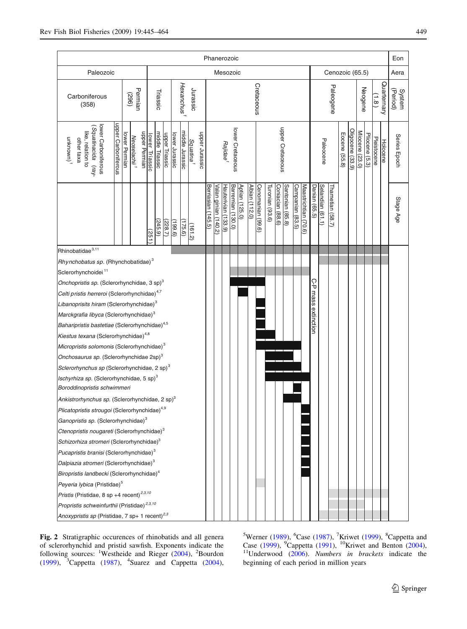<span id="page-4-0"></span>

| Phanerozoic                                                                                                                                                                                                                                                                                                                                                                                                                                                                                                                                                                                                                                                                                                                                                                                                                                                                                                                                                                                                                                                                                                                                                                                                                                                                                                                                                                                     |                                                            |                                                     |                |                                          |                |                    |                      | Eon                  |                   |                |                        |                   |                 |                  |                  |                  |                      |                     |                  |                  |               |                  |                |                    |             |          |              |
|-------------------------------------------------------------------------------------------------------------------------------------------------------------------------------------------------------------------------------------------------------------------------------------------------------------------------------------------------------------------------------------------------------------------------------------------------------------------------------------------------------------------------------------------------------------------------------------------------------------------------------------------------------------------------------------------------------------------------------------------------------------------------------------------------------------------------------------------------------------------------------------------------------------------------------------------------------------------------------------------------------------------------------------------------------------------------------------------------------------------------------------------------------------------------------------------------------------------------------------------------------------------------------------------------------------------------------------------------------------------------------------------------|------------------------------------------------------------|-----------------------------------------------------|----------------|------------------------------------------|----------------|--------------------|----------------------|----------------------|-------------------|----------------|------------------------|-------------------|-----------------|------------------|------------------|------------------|----------------------|---------------------|------------------|------------------|---------------|------------------|----------------|--------------------|-------------|----------|--------------|
| Paleozoic                                                                                                                                                                                                                                                                                                                                                                                                                                                                                                                                                                                                                                                                                                                                                                                                                                                                                                                                                                                                                                                                                                                                                                                                                                                                                                                                                                                       |                                                            |                                                     |                |                                          |                | Mesozoic           |                      |                      |                   |                |                        |                   |                 |                  |                  | Cenozoic (65.5)  |                      |                     |                  |                  |               |                  | Aera           |                    |             |          |              |
| Carboniferous<br>(358)                                                                                                                                                                                                                                                                                                                                                                                                                                                                                                                                                                                                                                                                                                                                                                                                                                                                                                                                                                                                                                                                                                                                                                                                                                                                                                                                                                          | Permian<br>(962)                                           | Hexanchus <sup>1</sup><br>Jurassic<br>Triassic      |                |                                          |                | Cretaceous         |                      |                      |                   |                |                        |                   |                 |                  | Paleogene        |                  |                      |                     |                  | Neogene<br>(1.8) |               |                  | Quarternary    | System<br>(Period) |             |          |              |
| upper Carboniferous<br>lower Carboniferous<br>(Squatinacida (ray-<br>like, relation to<br>unknown) <sup>1</sup><br>other taxa                                                                                                                                                                                                                                                                                                                                                                                                                                                                                                                                                                                                                                                                                                                                                                                                                                                                                                                                                                                                                                                                                                                                                                                                                                                                   | upper Permian<br>lower Permian<br>Neoselachii <sup>1</sup> | middle Triassic<br>upper Triassic<br>lower Triassic | lower Jurassic | middle Jurassic<br>Squatina <sup>1</sup> | upper Jurassic |                    |                      | Rajidae <sup>1</sup> | lower Cretaceous  |                |                        |                   |                 | upper Cretaceous |                  |                  |                      |                     | Paleocene        |                  | Eocene (55.8) | Oligocene (33.9) | Miocene (23.0) | Pliocene (5.3)     | Pleistocene | Holocene | Series Epoch |
|                                                                                                                                                                                                                                                                                                                                                                                                                                                                                                                                                                                                                                                                                                                                                                                                                                                                                                                                                                                                                                                                                                                                                                                                                                                                                                                                                                                                 |                                                            | (245.9)<br>228.7<br>(251)                           | (9.661)        | (175.6)                                  |                | Berriasian (145.5) | Valan ginian (140.2) | Hauterivian (133.9)  | Barremian (130.0) | Aptian (125.0) | <u> Albian (112.0)</u> | Cenomanian (99.6) | Turonian (93.6) | Coniacian (88.6) | Santonian (85.8) | Campanian (83.5) | Maastrichtian (70.6) | Danian (65.5)       | Selandian (61.1) | Thametian (58.7) |               |                  |                |                    |             |          | Stage Age    |
| (161.2)<br>Rhinobatidae <sup>3,11</sup><br>Rhynchobatus sp. (Rhynchobatidae) <sup>3</sup><br>Sclerorhynchoidei <sup>11</sup><br>Onchopristis sp. (Sclerorhynchidae, 3 sp) <sup>3</sup><br>Celti pristis herreroi (Sclerorhynchidae) <sup>4,/</sup><br>Libanoprisits hiram (Sclerorhynchidae) <sup>3</sup><br>Marckgrafia libyca (Sclerorhynchidae) <sup>3</sup><br>Baharipristis bastetiae (Sclerorhynchidae) <sup>4,5</sup><br>Kiestus texana (Sclerorhynchidae) <sup>4,8</sup><br>Micropristis solomonis (Sclerorhynchidae) <sup>3</sup><br>Onchosaurus sp. (Sclerorhynchidae 2sp) <sup>3</sup><br>Sclerorhynchus sp (Sclerorhynchidae, 2 sp) <sup>3</sup><br><i>Ischyrhiza sp.</i> (Sclerorhynchidae, 5 sp) <sup>3</sup><br>Boroddinopristis schwimmeri<br>Ankistrorhynchus sp. (Sclerorhynchidae, 2 sp) <sup>3</sup><br>Plicatopristis strougoi (Sclerorhynchidae) <sup>4,9</sup><br>Ganopristis sp. (Sclerorhynchidae) <sup>3</sup><br>Ctenopristis nougareti (Sclerorhynchidae) <sup>3</sup><br>Schizorhiza stromeri (Sclerorhynchidae) <sup>3</sup><br>Pucapristis branisi (Sclerorhynchidae) <sup>3</sup><br>Dalpiazia stromeri (Sclerorhynchidae) <sup>3</sup><br>Biropristis landbecki (Sclerorhynchidae) <sup>4</sup><br>Peyeria lybica (Pristidae) <sup>5</sup><br>Pristis (Pristidae, 8 sp +4 recent) <sup>2,3,10</sup><br>Propristis schweinfurthii (Pristidae) <sup>2,3,10</sup> |                                                            |                                                     |                |                                          |                |                    |                      |                      |                   |                |                        |                   |                 |                  |                  |                  |                      | C-P mass extinction |                  |                  |               |                  |                |                    |             |          |              |

Fig. 2 Stratigraphic occurences of rhinobatids and all genera of sclerorhynchid and pristid sawfish. Exponents indicate the following sources: <sup>1</sup>Westheide and Rieger ([2004\)](#page-18-0), <sup>2</sup>Bourdon ([1999\)](#page-16-0), <sup>3</sup>Cappetta ([1987\)](#page-16-0), <sup>4</sup>Suarez and Cappetta [\(2004](#page-18-0)),

<sup>5</sup>Werner [\(1989](#page-18-0)), <sup>6</sup>Case ([1987](#page-16-0)), <sup>7</sup>Kriwet ([1999\)](#page-16-0), <sup>8</sup>Cappetta and Case (1999), <sup>9</sup>Cappetta ([1991\)](#page-16-0), <sup>10</sup>Kriwet and Benton [\(2004](#page-17-0)), <sup>11</sup>Underwood ([2006\)](#page-18-0). *Numbers in brackets* indicate the beginning of each period in million years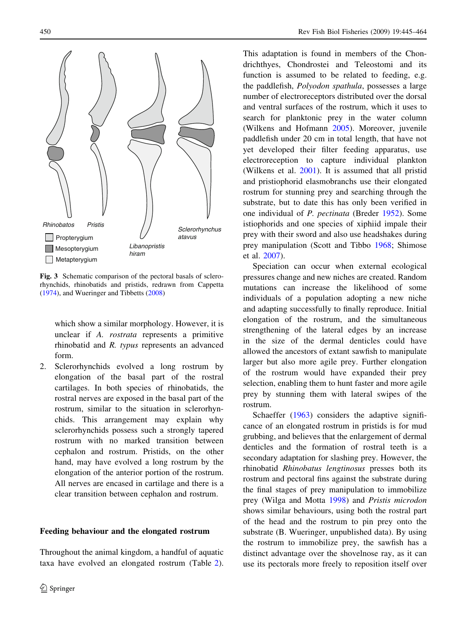<span id="page-5-0"></span>

Fig. 3 Schematic comparison of the pectoral basals of sclerorhynchids, rhinobatids and pristids, redrawn from Cappetta ([1974\)](#page-16-0), and Wueringer and Tibbetts ([2008\)](#page-19-0)

which show a similar morphology. However, it is unclear if A. rostrata represents a primitive rhinobatid and R. typus represents an advanced form.

2. Sclerorhynchids evolved a long rostrum by elongation of the basal part of the rostral cartilages. In both species of rhinobatids, the rostral nerves are exposed in the basal part of the rostrum, similar to the situation in sclerorhynchids. This arrangement may explain why sclerorhynchids possess such a strongly tapered rostrum with no marked transition between cephalon and rostrum. Pristids, on the other hand, may have evolved a long rostrum by the elongation of the anterior portion of the rostrum. All nerves are encased in cartilage and there is a clear transition between cephalon and rostrum.

# Feeding behaviour and the elongated rostrum

Throughout the animal kingdom, a handful of aquatic taxa have evolved an elongated rostrum (Table [2](#page-7-0)).

This adaptation is found in members of the Chondrichthyes, Chondrostei and Teleostomi and its function is assumed to be related to feeding, e.g. the paddlefish, Polyodon spathula, possesses a large number of electroreceptors distributed over the dorsal and ventral surfaces of the rostrum, which it uses to search for planktonic prey in the water column (Wilkens and Hofmann [2005\)](#page-18-0). Moreover, juvenile paddlefish under 20 cm in total length, that have not yet developed their filter feeding apparatus, use electroreception to capture individual plankton (Wilkens et al. [2001](#page-18-0)). It is assumed that all pristid and pristiophorid elasmobranchs use their elongated rostrum for stunning prey and searching through the substrate, but to date this has only been verified in one individual of P. pectinata (Breder [1952\)](#page-16-0). Some istiophorids and one species of xiphiid impale their prey with their sword and also use headshakes during prey manipulation (Scott and Tibbo [1968;](#page-18-0) Shimose et al. [2007\)](#page-18-0).

Speciation can occur when external ecological pressures change and new niches are created. Random mutations can increase the likelihood of some individuals of a population adopting a new niche and adapting successfully to finally reproduce. Initial elongation of the rostrum, and the simultaneous strengthening of the lateral edges by an increase in the size of the dermal denticles could have allowed the ancestors of extant sawfish to manipulate larger but also more agile prey. Further elongation of the rostrum would have expanded their prey selection, enabling them to hunt faster and more agile prey by stunning them with lateral swipes of the rostrum.

Schaeffer [\(1963](#page-17-0)) considers the adaptive significance of an elongated rostrum in pristids is for mud grubbing, and believes that the enlargement of dermal denticles and the formation of rostral teeth is a secondary adaptation for slashing prey. However, the rhinobatid Rhinobatus lengtinosus presses both its rostrum and pectoral fins against the substrate during the final stages of prey manipulation to immobilize prey (Wilga and Motta [1998\)](#page-18-0) and Pristis microdon shows similar behaviours, using both the rostral part of the head and the rostrum to pin prey onto the substrate (B. Wueringer, unpublished data). By using the rostrum to immobilize prey, the sawfish has a distinct advantage over the shovelnose ray, as it can use its pectorals more freely to reposition itself over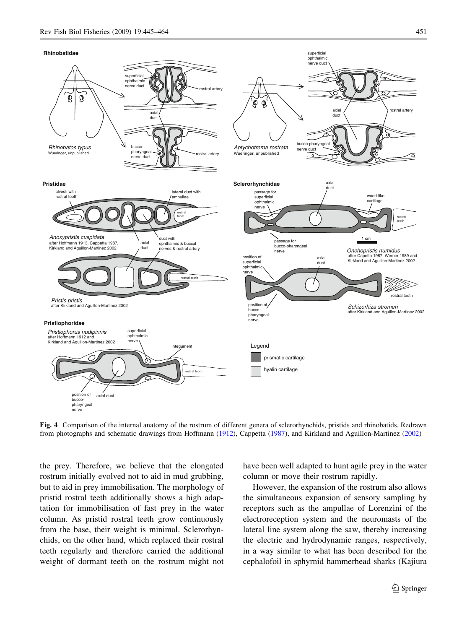<span id="page-6-0"></span>

Fig. 4 Comparison of the internal anatomy of the rostrum of different genera of sclerorhynchids, pristids and rhinobatids. Redrawn from photographs and schematic drawings from Hoffmann [\(1912](#page-17-0)), Cappetta [\(1987](#page-16-0)), and Kirkland and Aguillon-Martinez [\(2002](#page-17-0))

the prey. Therefore, we believe that the elongated rostrum initially evolved not to aid in mud grubbing, but to aid in prey immobilisation. The morphology of pristid rostral teeth additionally shows a high adaptation for immobilisation of fast prey in the water column. As pristid rostral teeth grow continuously from the base, their weight is minimal. Sclerorhynchids, on the other hand, which replaced their rostral teeth regularly and therefore carried the additional weight of dormant teeth on the rostrum might not have been well adapted to hunt agile prey in the water column or move their rostrum rapidly.

However, the expansion of the rostrum also allows the simultaneous expansion of sensory sampling by receptors such as the ampullae of Lorenzini of the electroreception system and the neuromasts of the lateral line system along the saw, thereby increasing the electric and hydrodynamic ranges, respectively, in a way similar to what has been described for the cephalofoil in sphyrnid hammerhead sharks (Kajiura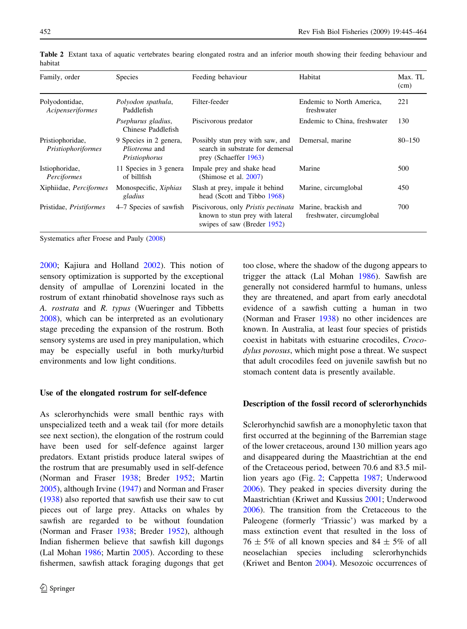| Family, order                                     | <b>Species</b>                                                  | Feeding behaviour                                                                                            | Habitat                                          | Max. TL<br>(cm) |
|---------------------------------------------------|-----------------------------------------------------------------|--------------------------------------------------------------------------------------------------------------|--------------------------------------------------|-----------------|
| Polyodontidae,<br>Acipenseriformes                | Polyodon spathula,<br>Paddlefish                                | Filter-feeder                                                                                                | Endemic to North America.<br>freshwater          | 221             |
|                                                   | Psephurus gladius,<br>Chinese Paddlefish                        | Piscivorous predator                                                                                         | Endemic to China, freshwater                     | 130             |
| Pristiophoridae,<br>Pristiophoriformes            | 9 Species in 2 genera,<br><i>Pliotrema</i> and<br>Pristiophorus | Possibly stun prey with saw, and<br>search in substrate for demersal<br>prey (Schaeffer 1963)                | Demersal, marine                                 | $80 - 150$      |
| Istiophoridae,<br>Perciformes                     | 11 Species in 3 genera<br>of billfish                           | Impale prey and shake head<br>(Shimose et al. 2007)                                                          | Marine                                           | 500             |
| Xiphiidae, Perciformes                            | Monospecific, Xiphias<br>gladius                                | Slash at prey, impale it behind<br>head (Scott and Tibbo 1968)                                               | Marine, circumglobal                             | 450             |
| Pristidae, Pristiformes<br>4–7 Species of sawfish |                                                                 | Piscivorous, only <i>Pristis pectinata</i><br>known to stun prey with lateral<br>swipes of saw (Breder 1952) | Marine, brackish and<br>freshwater, circumglobal | 700             |

<span id="page-7-0"></span>Table 2 Extant taxa of aquatic vertebrates bearing elongated rostra and an inferior mouth showing their feeding behaviour and habitat

Systematics after Froese and Pauly [\(2008\)](#page-16-0)

[2000;](#page-17-0) Kajiura and Holland [2002](#page-17-0)). This notion of sensory optimization is supported by the exceptional density of ampullae of Lorenzini located in the rostrum of extant rhinobatid shovelnose rays such as A. rostrata and R. typus (Wueringer and Tibbetts [2008\)](#page-19-0), which can be interpreted as an evolutionary stage preceding the expansion of the rostrum. Both sensory systems are used in prey manipulation, which may be especially useful in both murky/turbid environments and low light conditions.

#### Use of the elongated rostrum for self-defence

As sclerorhynchids were small benthic rays with unspecialized teeth and a weak tail (for more details see next section), the elongation of the rostrum could have been used for self-defence against larger predators. Extant pristids produce lateral swipes of the rostrum that are presumably used in self-defence (Norman and Fraser [1938](#page-17-0); Breder [1952](#page-16-0); Martin [2005\)](#page-17-0), although Irvine [\(1947](#page-17-0)) and Norman and Fraser [\(1938](#page-17-0)) also reported that sawfish use their saw to cut pieces out of large prey. Attacks on whales by sawfish are regarded to be without foundation (Norman and Fraser [1938;](#page-17-0) Breder [1952\)](#page-16-0), although Indian fishermen believe that sawfish kill dugongs (Lal Mohan [1986;](#page-17-0) Martin [2005](#page-17-0)). According to these fishermen, sawfish attack foraging dugongs that get too close, where the shadow of the dugong appears to trigger the attack (Lal Mohan [1986\)](#page-17-0). Sawfish are generally not considered harmful to humans, unless they are threatened, and apart from early anecdotal evidence of a sawfish cutting a human in two (Norman and Fraser [1938\)](#page-17-0) no other incidences are known. In Australia, at least four species of pristids coexist in habitats with estuarine crocodiles, Crocodylus porosus, which might pose a threat. We suspect that adult crocodiles feed on juvenile sawfish but no stomach content data is presently available.

## Description of the fossil record of sclerorhynchids

Sclerorhynchid sawfish are a monophyletic taxon that first occurred at the beginning of the Barremian stage of the lower cretaceous, around 130 million years ago and disappeared during the Maastrichtian at the end of the Cretaceous period, between 70.6 and 83.5 million years ago (Fig. [2;](#page-4-0) Cappetta [1987;](#page-16-0) Underwood [2006\)](#page-18-0). They peaked in species diversity during the Maastrichtian (Kriwet and Kussius [2001;](#page-17-0) Underwood [2006\)](#page-18-0). The transition from the Cretaceous to the Paleogene (formerly 'Triassic') was marked by a mass extinction event that resulted in the loss of  $76 \pm 5\%$  of all known species and  $84 \pm 5\%$  of all neoselachian species including sclerorhynchids (Kriwet and Benton [2004](#page-17-0)). Mesozoic occurrences of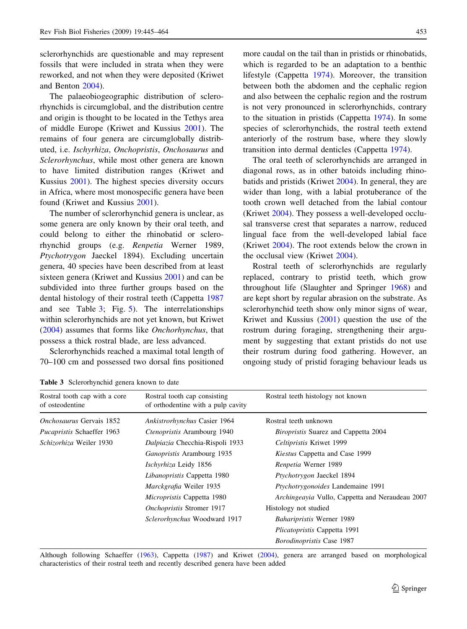sclerorhynchids are questionable and may represent fossils that were included in strata when they were reworked, and not when they were deposited (Kriwet and Benton [2004\)](#page-17-0).

The palaeobiogeographic distribution of sclerorhynchids is circumglobal, and the distribution centre and origin is thought to be located in the Tethys area of middle Europe (Kriwet and Kussius [2001](#page-17-0)). The remains of four genera are circumglobally distributed, i.e. Ischyrhiza, Onchopristis, Onchosaurus and Sclerorhynchus, while most other genera are known to have limited distribution ranges (Kriwet and Kussius [2001](#page-17-0)). The highest species diversity occurs in Africa, where most monospecific genera have been found (Kriwet and Kussius [2001](#page-17-0)).

The number of sclerorhynchid genera is unclear, as some genera are only known by their oral teeth, and could belong to either the rhinobatid or sclerorhynchid groups (e.g. Renpetia Werner 1989, Ptychotrygon Jaeckel 1894). Excluding uncertain genera, 40 species have been described from at least sixteen genera (Kriwet and Kussius [2001\)](#page-17-0) and can be subdivided into three further groups based on the dental histology of their rostral teeth (Cappetta [1987](#page-16-0) and see Table 3; Fig. [5\)](#page-9-0). The interrelationships within sclerorhynchids are not yet known, but Kriwet [\(2004](#page-17-0)) assumes that forms like Onchorhynchus, that possess a thick rostral blade, are less advanced.

Sclerorhynchids reached a maximal total length of 70–100 cm and possessed two dorsal fins positioned

more caudal on the tail than in pristids or rhinobatids, which is regarded to be an adaptation to a benthic lifestyle (Cappetta [1974\)](#page-16-0). Moreover, the transition between both the abdomen and the cephalic region and also between the cephalic region and the rostrum is not very pronounced in sclerorhynchids, contrary to the situation in pristids (Cappetta [1974\)](#page-16-0). In some species of sclerorhynchids, the rostral teeth extend anteriorly of the rostrum base, where they slowly transition into dermal denticles (Cappetta [1974](#page-16-0)).

The oral teeth of sclerorhynchids are arranged in diagonal rows, as in other batoids including rhinobatids and pristids (Kriwet [2004](#page-17-0)). In general, they are wider than long, with a labial protuberance of the tooth crown well detached from the labial contour (Kriwet [2004\)](#page-17-0). They possess a well-developed occlusal transverse crest that separates a narrow, reduced lingual face from the well-developed labial face (Kriwet [2004](#page-17-0)). The root extends below the crown in the occlusal view (Kriwet [2004\)](#page-17-0).

Rostral teeth of sclerorhynchids are regularly replaced, contrary to pristid teeth, which grow throughout life (Slaughter and Springer [1968\)](#page-18-0) and are kept short by regular abrasion on the substrate. As sclerorhynchid teeth show only minor signs of wear, Kriwet and Kussius [\(2001](#page-17-0)) question the use of the rostrum during foraging, strengthening their argument by suggesting that extant pristids do not use their rostrum during food gathering. However, an ongoing study of pristid foraging behaviour leads us

| Rostral tooth cap with a core<br>of osteodentine | Rostral tooth cap consisting<br>of orthodentine with a pulp cavity | Rostral teeth histology not known               |  |  |  |  |  |
|--------------------------------------------------|--------------------------------------------------------------------|-------------------------------------------------|--|--|--|--|--|
| <i>Onchosaurus</i> Gervais 1852                  | Ankistrorhynchus Casier 1964                                       | Rostral teeth unknown                           |  |  |  |  |  |
| Pucapristis Schaeffer 1963                       | Ctenopristis Arambourg 1940                                        | <i>Biropristis</i> Suarez and Cappetta 2004     |  |  |  |  |  |
| <i>Schizorhiza</i> Weiler 1930                   | Dalpiazia Checchia-Rispoli 1933                                    | Celtipristis Kriwet 1999                        |  |  |  |  |  |
|                                                  | <i>Ganopristis</i> Arambourg 1935                                  | <i>Kiestus</i> Cappetta and Case 1999           |  |  |  |  |  |
|                                                  | Ischyrhiza Leidy 1856                                              | Renpetia Werner 1989                            |  |  |  |  |  |
|                                                  | Libanopristis Cappetta 1980                                        | Ptychotrygon Jaeckel 1894                       |  |  |  |  |  |
|                                                  | <i>Marckgrafia</i> Weiler 1935                                     | <i>Ptychotrygonoides</i> Landemaine 1991        |  |  |  |  |  |
|                                                  | <i>Micropristis</i> Cappetta 1980                                  | Archingeayia Vullo, Cappetta and Neraudeau 2007 |  |  |  |  |  |
|                                                  | Onchopristis Stromer 1917                                          | Histology not studied                           |  |  |  |  |  |
|                                                  | Sclerorhynchus Woodward 1917                                       | <b>Baharipristis Werner 1989</b>                |  |  |  |  |  |
|                                                  |                                                                    | <i>Plicatopristis</i> Cappetta 1991             |  |  |  |  |  |
|                                                  |                                                                    | <i>Borodinopristis</i> Case 1987                |  |  |  |  |  |

Table 3 Sclerorhynchid genera known to date

Although following Schaeffer ([1963\)](#page-17-0), Cappetta ([1987\)](#page-16-0) and Kriwet ([2004\)](#page-17-0), genera are arranged based on morphological characteristics of their rostral teeth and recently described genera have been added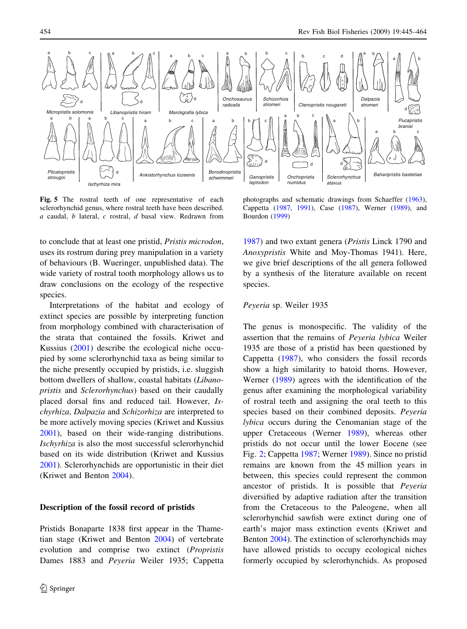<span id="page-9-0"></span>

Fig. 5 The rostral teeth of one representative of each sclerorhynchid genus, where rostral teeth have been described. a caudal, b lateral, c rostral, d basal view. Redrawn from

to conclude that at least one pristid, Pristis microdon, uses its rostrum during prey manipulation in a variety of behaviours (B. Wueringer, unpublished data). The wide variety of rostral tooth morphology allows us to draw conclusions on the ecology of the respective species.

Interpretations of the habitat and ecology of extinct species are possible by interpreting function from morphology combined with characterisation of the strata that contained the fossils. Kriwet and Kussius ([2001\)](#page-17-0) describe the ecological niche occupied by some sclerorhynchid taxa as being similar to the niche presently occupied by pristids, i.e. sluggish bottom dwellers of shallow, coastal habitats (Libanopristis and Sclerorhynchus) based on their caudally placed dorsal fins and reduced tail. However, Ischyrhiza, Dalpazia and Schizorhiza are interpreted to be more actively moving species (Kriwet and Kussius [2001\)](#page-17-0), based on their wide-ranging distributions. Ischyrhiza is also the most successful sclerorhynchid based on its wide distribution (Kriwet and Kussius [2001\)](#page-17-0). Sclerorhynchids are opportunistic in their diet (Kriwet and Benton [2004](#page-17-0)).

## Description of the fossil record of pristids

Pristids Bonaparte 1838 first appear in the Thametian stage (Kriwet and Benton [2004\)](#page-17-0) of vertebrate evolution and comprise two extinct (Propristis Dames 1883 and Peyeria Weiler 1935; Cappetta

photographs and schematic drawings from Schaeffer [\(1963](#page-17-0)), Cappetta [\(1987](#page-16-0), [1991\)](#page-16-0), Case ([1987\)](#page-16-0), Werner ([1989\)](#page-18-0), and Bourdon [\(1999](#page-16-0))

[1987\)](#page-16-0) and two extant genera (Pristis Linck 1790 and Anoxypristis White and Moy-Thomas 1941). Here, we give brief descriptions of the all genera followed by a synthesis of the literature available on recent species.

## Peyeria sp. Weiler 1935

The genus is monospecific. The validity of the assertion that the remains of Peyeria lybica Weiler 1935 are those of a pristid has been questioned by Cappetta [\(1987](#page-16-0)), who considers the fossil records show a high similarity to batoid thorns. However, Werner [\(1989](#page-18-0)) agrees with the identification of the genus after examining the morphological variability of rostral teeth and assigning the oral teeth to this species based on their combined deposits. Peyeria lybica occurs during the Cenomanian stage of the upper Cretaceous (Werner [1989\)](#page-18-0), whereas other pristids do not occur until the lower Eocene (see Fig. [2;](#page-4-0) Cappetta [1987](#page-16-0); Werner [1989\)](#page-18-0). Since no pristid remains are known from the 45 million years in between, this species could represent the common ancestor of pristids. It is possible that Peyeria diversified by adaptive radiation after the transition from the Cretaceous to the Paleogene, when all sclerorhynchid sawfish were extinct during one of earth's major mass extinction events (Kriwet and Benton [2004](#page-17-0)). The extinction of sclerorhynchids may have allowed pristids to occupy ecological niches formerly occupied by sclerorhynchids. As proposed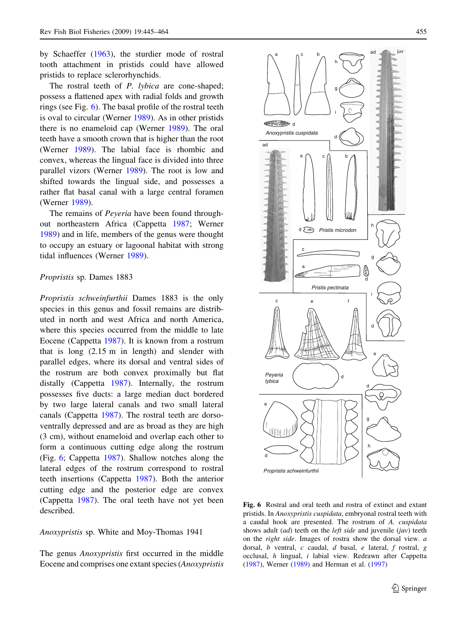<span id="page-10-0"></span>by Schaeffer ([1963\)](#page-17-0), the sturdier mode of rostral tooth attachment in pristids could have allowed pristids to replace sclerorhynchids.

The rostral teeth of *P. lybica* are cone-shaped; possess a flattened apex with radial folds and growth rings (see Fig. 6). The basal profile of the rostral teeth is oval to circular (Werner [1989](#page-18-0)). As in other pristids there is no enameloid cap (Werner [1989](#page-18-0)). The oral teeth have a smooth crown that is higher than the root (Werner [1989\)](#page-18-0). The labial face is rhombic and convex, whereas the lingual face is divided into three parallel vizors (Werner [1989](#page-18-0)). The root is low and shifted towards the lingual side, and possesses a rather flat basal canal with a large central foramen (Werner [1989](#page-18-0)).

The remains of *Peyeria* have been found throughout northeastern Africa (Cappetta [1987](#page-16-0); Werner [1989\)](#page-18-0) and in life, members of the genus were thought to occupy an estuary or lagoonal habitat with strong tidal influences (Werner [1989](#page-18-0)).

#### Propristis sp. Dames 1883

Propristis schweinfurthii Dames 1883 is the only species in this genus and fossil remains are distributed in north and west Africa and north America, where this species occurred from the middle to late Eocene (Cappetta [1987\)](#page-16-0). It is known from a rostrum that is long (2.15 m in length) and slender with parallel edges, where its dorsal and ventral sides of the rostrum are both convex proximally but flat distally (Cappetta [1987\)](#page-16-0). Internally, the rostrum possesses five ducts: a large median duct bordered by two large lateral canals and two small lateral canals (Cappetta [1987\)](#page-16-0). The rostral teeth are dorsoventrally depressed and are as broad as they are high (3 cm), without enameloid and overlap each other to form a continuous cutting edge along the rostrum (Fig. 6; Cappetta [1987](#page-16-0)). Shallow notches along the lateral edges of the rostrum correspond to rostral teeth insertions (Cappetta [1987\)](#page-16-0). Both the anterior cutting edge and the posterior edge are convex (Cappetta [1987](#page-16-0)). The oral teeth have not yet been described.

## Anoxypristis sp. White and Moy-Thomas 1941

The genus Anoxypristis first occurred in the middle Eocene and comprises one extant species (Anoxypristis



Fig. 6 Rostral and oral teeth and rostra of extinct and extant pristids. In Anoxypristis cuspidata, embryonal rostral teeth with a caudal hook are presented. The rostrum of A. cuspidata shows adult  $(ad)$  teeth on the *left side* and juvenile  $(juv)$  teeth on the right side. Images of rostra show the dorsal view. a dorsal, b ventral, c caudal, d basal, e lateral, f rostral, g occlusal, h lingual, i labial view. Redrawn after Cappetta ([1987\)](#page-16-0), Werner ([1989\)](#page-18-0) and Herman et al. [\(1997](#page-16-0))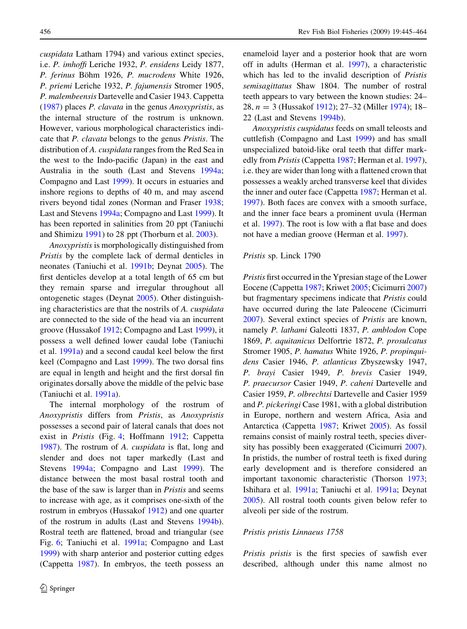cuspidata Latham 1794) and various extinct species, i.e. P. imhoffi Leriche 1932, P. ensidens Leidy 1877, P. ferinus Böhm 1926, P. mucrodens White 1926, P. priemi Leriche 1932, P. fajumensis Stromer 1905, P. malembeensis Dartevelle and Casier 1943. Cappetta [\(1987](#page-16-0)) places P. clavata in the genus Anoxypristis, as the internal structure of the rostrum is unknown. However, various morphological characteristics indicate that P. clavata belongs to the genus Pristis. The distribution of A. cuspidata ranges from the Red Sea in the west to the Indo-pacific (Japan) in the east and Australia in the south (Last and Stevens [1994a](#page-17-0); Compagno and Last [1999\)](#page-16-0). It occurs in estuaries and inshore regions to depths of 40 m, and may ascend rivers beyond tidal zones (Norman and Fraser [1938](#page-17-0); Last and Stevens [1994a;](#page-17-0) Compagno and Last [1999](#page-16-0)). It has been reported in salinities from 20 ppt (Taniuchi and Shimizu [1991\)](#page-18-0) to 28 ppt (Thorburn et al. [2003\)](#page-18-0).

Anoxypristis is morphologically distinguished from Pristis by the complete lack of dermal denticles in neonates (Taniuchi et al. [1991b;](#page-18-0) Deynat [2005](#page-16-0)). The first denticles develop at a total length of 65 cm but they remain sparse and irregular throughout all ontogenetic stages (Deynat [2005\)](#page-16-0). Other distinguishing characteristics are that the nostrils of A. cuspidata are connected to the side of the head via an incurrent groove (Hussakof [1912](#page-17-0); Compagno and Last [1999](#page-16-0)), it possess a well defined lower caudal lobe (Taniuchi et al. [1991a](#page-18-0)) and a second caudal keel below the first keel (Compagno and Last [1999\)](#page-16-0). The two dorsal fins are equal in length and height and the first dorsal fin originates dorsally above the middle of the pelvic base (Taniuchi et al. [1991a](#page-18-0)).

The internal morphology of the rostrum of Anoxypristis differs from Pristis, as Anoxypristis possesses a second pair of lateral canals that does not exist in Pristis (Fig. [4](#page-6-0); Hoffmann [1912](#page-17-0); Cappetta [1987\)](#page-16-0). The rostrum of A. cuspidata is flat, long and slender and does not taper markedly (Last and Stevens [1994a;](#page-17-0) Compagno and Last [1999](#page-16-0)). The distance between the most basal rostral tooth and the base of the saw is larger than in Pristis and seems to increase with age, as it comprises one-sixth of the rostrum in embryos (Hussakof [1912\)](#page-17-0) and one quarter of the rostrum in adults (Last and Stevens [1994b](#page-17-0)). Rostral teeth are flattened, broad and triangular (see Fig. [6;](#page-10-0) Taniuchi et al. [1991a;](#page-18-0) Compagno and Last [1999\)](#page-16-0) with sharp anterior and posterior cutting edges (Cappetta [1987\)](#page-16-0). In embryos, the teeth possess an

enameloid layer and a posterior hook that are worn off in adults (Herman et al. [1997\)](#page-16-0), a characteristic which has led to the invalid description of Pristis semisagittatus Shaw 1804. The number of rostral teeth appears to vary between the known studies: 24– 28, n = 3 (Hussakof [1912\)](#page-17-0); 27–32 (Miller [1974\)](#page-17-0); 18– 22 (Last and Stevens [1994b](#page-17-0)).

Anoxypristis cuspidatus feeds on small teleosts and cuttlefish (Compagno and Last [1999\)](#page-16-0) and has small unspecialized batoid-like oral teeth that differ markedly from Pristis (Cappetta [1987;](#page-16-0) Herman et al. [1997](#page-16-0)), i.e. they are wider than long with a flattened crown that possesses a weakly arched transverse keel that divides the inner and outer face (Cappetta [1987;](#page-16-0) Herman et al. [1997\)](#page-16-0). Both faces are convex with a smooth surface, and the inner face bears a prominent uvula (Herman et al. [1997\)](#page-16-0). The root is low with a flat base and does not have a median groove (Herman et al. [1997](#page-16-0)).

#### Pristis sp. Linck 1790

Pristis first occurred in the Ypresian stage of the Lower Eocene (Cappetta [1987](#page-16-0); Kriwet [2005](#page-17-0); Cicimurri [2007\)](#page-16-0) but fragmentary specimens indicate that Pristis could have occurred during the late Paleocene (Cicimurri [2007\)](#page-16-0). Several extinct species of Pristis are known, namely P. lathami Galeotti 1837, P. amblodon Cope 1869, P. aquitanicus Delfortrie 1872, P. prosulcatus Stromer 1905, P. hamatus White 1926, P. propinquidens Casier 1946, P. atlanticus Zbyszewsky 1947, P. brayi Casier 1949, P. brevis Casier 1949, P. praecursor Casier 1949, P. caheni Dartevelle and Casier 1959, P. olbrechtsi Dartevelle and Casier 1959 and P. pickeringi Case 1981, with a global distribution in Europe, northern and western Africa, Asia and Antarctica (Cappetta [1987](#page-16-0); Kriwet [2005](#page-17-0)). As fossil remains consist of mainly rostral teeth, species diversity has possibly been exaggerated (Cicimurri [2007](#page-16-0)). In pristids, the number of rostral teeth is fixed during early development and is therefore considered an important taxonomic characteristic (Thorson [1973](#page-18-0); Ishihara et al. [1991a;](#page-17-0) Taniuchi et al. [1991a;](#page-18-0) Deynat [2005\)](#page-16-0). All rostral tooth counts given below refer to alveoli per side of the rostrum.

## Pristis pristis Linnaeus 1758

Pristis pristis is the first species of sawfish ever described, although under this name almost no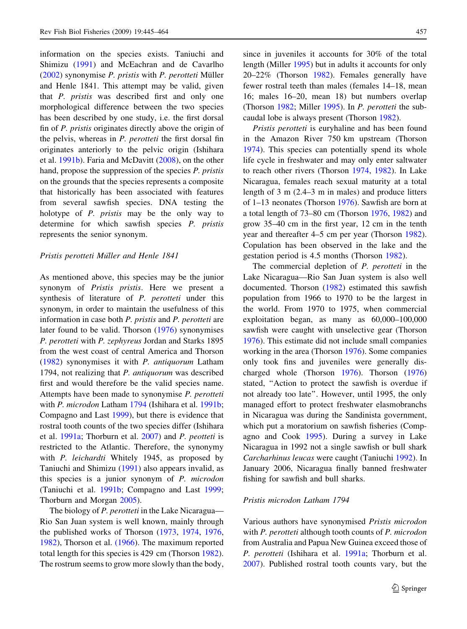information on the species exists. Taniuchi and Shimizu [\(1991](#page-18-0)) and McEachran and de Cavarlho  $(2002)$  $(2002)$  synonymise *P. pristis* with *P. perotteti* Müller and Henle 1841. This attempt may be valid, given that P. pristis was described first and only one morphological difference between the two species has been described by one study, i.e. the first dorsal fin of P. pristis originates directly above the origin of the pelvis, whereas in *P. perotteti* the first dorsal fin originates anteriorly to the pelvic origin (Ishihara et al. [1991b\)](#page-17-0). Faria and McDavitt [\(2008](#page-16-0)), on the other hand, propose the suppression of the species P. pristis on the grounds that the species represents a composite that historically has been associated with features from several sawfish species. DNA testing the holotype of *P. pristis* may be the only way to determine for which sawfish species P. pristis represents the senior synonym.

#### Pristis perotteti Müller and Henle 1841

As mentioned above, this species may be the junior synonym of Pristis pristis. Here we present a synthesis of literature of P. perotteti under this synonym, in order to maintain the usefulness of this information in case both P. pristis and P. perotteti are later found to be valid. Thorson [\(1976](#page-18-0)) synonymises P. perotteti with P. zephyreus Jordan and Starks 1895 from the west coast of central America and Thorson [\(1982](#page-18-0)) synonymises it with P. antiquorum Latham 1794, not realizing that P. antiquorum was described first and would therefore be the valid species name. Attempts have been made to synonymise P. perotteti with P. microdon Latham [1794](#page-17-0) (Ishihara et al. [1991b](#page-17-0); Compagno and Last [1999](#page-16-0)), but there is evidence that rostral tooth counts of the two species differ (Ishihara et al. [1991a;](#page-17-0) Thorburn et al. [2007\)](#page-18-0) and P. peotteti is restricted to the Atlantic. Therefore, the synonymy with *P. leichardti* Whitely 1945, as proposed by Taniuchi and Shimizu [\(1991](#page-18-0)) also appears invalid, as this species is a junior synonym of P. microdon (Taniuchi et al. [1991b](#page-18-0); Compagno and Last [1999](#page-16-0); Thorburn and Morgan [2005](#page-18-0)).

The biology of P. perotteti in the Lake Nicaragua-Rio San Juan system is well known, mainly through the published works of Thorson ([1973,](#page-18-0) [1974](#page-18-0), [1976,](#page-18-0) [1982\)](#page-18-0), Thorson et al. [\(1966\)](#page-18-0). The maximum reported total length for this species is 429 cm (Thorson [1982](#page-18-0)). The rostrum seems to grow more slowly than the body, since in juveniles it accounts for 30% of the total length (Miller [1995\)](#page-17-0) but in adults it accounts for only 20–22% (Thorson [1982\)](#page-18-0). Females generally have fewer rostral teeth than males (females 14–18, mean 16; males 16–20, mean 18) but numbers overlap (Thorson  $1982$ ; Miller [1995\)](#page-17-0). In P. perotteti the subcaudal lobe is always present (Thorson [1982](#page-18-0)).

Pristis perotteti is euryhaline and has been found in the Amazon River 750 km upstream (Thorson [1974\)](#page-18-0). This species can potentially spend its whole life cycle in freshwater and may only enter saltwater to reach other rivers (Thorson [1974,](#page-18-0) [1982\)](#page-18-0). In Lake Nicaragua, females reach sexual maturity at a total length of 3 m (2.4–3 m in males) and produce litters of 1–13 neonates (Thorson [1976](#page-18-0)). Sawfish are born at a total length of 73–80 cm (Thorson [1976,](#page-18-0) [1982\)](#page-18-0) and grow 35–40 cm in the first year, 12 cm in the tenth year and thereafter 4–5 cm per year (Thorson [1982](#page-18-0)). Copulation has been observed in the lake and the gestation period is 4.5 months (Thorson [1982\)](#page-18-0).

The commercial depletion of *P. perotteti* in the Lake Nicaragua—Rio San Juan system is also well documented. Thorson [\(1982](#page-18-0)) estimated this sawfish population from 1966 to 1970 to be the largest in the world. From 1970 to 1975, when commercial exploitation began, as many as 60,000–100,000 sawfish were caught with unselective gear (Thorson [1976\)](#page-18-0). This estimate did not include small companies working in the area (Thorson [1976\)](#page-18-0). Some companies only took fins and juveniles were generally discharged whole (Thorson [1976\)](#page-18-0). Thorson ([1976\)](#page-18-0) stated, ''Action to protect the sawfish is overdue if not already too late''. However, until 1995, the only managed effort to protect freshwater elasmobranchs in Nicaragua was during the Sandinista government, which put a moratorium on sawfish fisheries (Compagno and Cook [1995\)](#page-16-0). During a survey in Lake Nicaragua in 1992 not a single sawfish or bull shark Carcharhinus leucas were caught (Taniuchi [1992\)](#page-18-0). In January 2006, Nicaragua finally banned freshwater fishing for sawfish and bull sharks.

## Pristis microdon Latham 1794

Various authors have synonymised Pristis microdon with P. perotteti although tooth counts of P. microdon from Australia and Papua New Guinea exceed those of P. perotteti (Ishihara et al. [1991a](#page-17-0); Thorburn et al. [2007\)](#page-18-0). Published rostral tooth counts vary, but the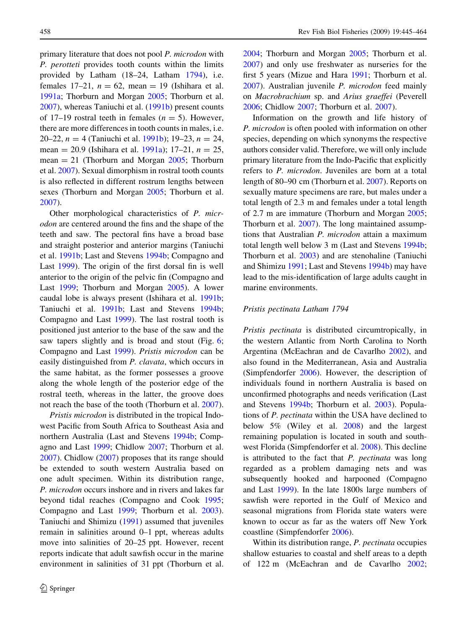primary literature that does not pool P. microdon with P. perotteti provides tooth counts within the limits provided by Latham (18–24, Latham [1794](#page-17-0)), i.e. females 17–21,  $n = 62$ , mean = 19 (Ishihara et al. [1991a](#page-17-0); Thorburn and Morgan [2005](#page-18-0); Thorburn et al. [2007\)](#page-18-0), whereas Taniuchi et al. ([1991b\)](#page-18-0) present counts of 17–19 rostral teeth in females ( $n = 5$ ). However, there are more differences in tooth counts in males, i.e. 20–22,  $n = 4$  (Taniuchi et al. [1991b\)](#page-18-0); 19–23,  $n = 24$ , mean = 20.9 (Ishihara et al. [1991a](#page-17-0)); 17–21,  $n = 25$ , mean  $= 21$  (Thorburn and Morgan [2005](#page-18-0); Thorburn et al. [2007](#page-18-0)). Sexual dimorphism in rostral tooth counts is also reflected in different rostrum lengths between sexes (Thorburn and Morgan [2005](#page-18-0); Thorburn et al. [2007\)](#page-18-0).

Other morphological characteristics of P. microdon are centered around the fins and the shape of the teeth and saw. The pectoral fins have a broad base and straight posterior and anterior margins (Taniuchi et al. [1991b](#page-18-0); Last and Stevens [1994b;](#page-17-0) Compagno and Last [1999\)](#page-16-0). The origin of the first dorsal fin is well anterior to the origin of the pelvic fin (Compagno and Last [1999](#page-16-0); Thorburn and Morgan [2005](#page-18-0)). A lower caudal lobe is always present (Ishihara et al. [1991b](#page-17-0); Taniuchi et al. [1991b](#page-18-0); Last and Stevens [1994b](#page-17-0); Compagno and Last [1999](#page-16-0)). The last rostral tooth is positioned just anterior to the base of the saw and the saw tapers slightly and is broad and stout (Fig. [6](#page-10-0); Compagno and Last [1999\)](#page-16-0). Pristis microdon can be easily distinguished from P. clavata, which occurs in the same habitat, as the former possesses a groove along the whole length of the posterior edge of the rostral teeth, whereas in the latter, the groove does not reach the base of the tooth (Thorburn et al. [2007](#page-18-0)).

Pristis microdon is distributed in the tropical Indowest Pacific from South Africa to Southeast Asia and northern Australia (Last and Stevens [1994b;](#page-17-0) Compagno and Last [1999;](#page-16-0) Chidlow [2007;](#page-16-0) Thorburn et al. [2007\)](#page-18-0). Chidlow ([2007\)](#page-16-0) proposes that its range should be extended to south western Australia based on one adult specimen. Within its distribution range, P. microdon occurs inshore and in rivers and lakes far beyond tidal reaches (Compagno and Cook [1995](#page-16-0); Compagno and Last [1999;](#page-16-0) Thorburn et al. [2003](#page-18-0)). Taniuchi and Shimizu [\(1991](#page-18-0)) assumed that juveniles remain in salinities around 0–1 ppt, whereas adults move into salinities of 20–25 ppt. However, recent reports indicate that adult sawfish occur in the marine environment in salinities of 31 ppt (Thorburn et al. [2004;](#page-18-0) Thorburn and Morgan [2005](#page-18-0); Thorburn et al. [2007\)](#page-18-0) and only use freshwater as nurseries for the first 5 years (Mizue and Hara [1991](#page-17-0); Thorburn et al. [2007\)](#page-18-0). Australian juvenile P. microdon feed mainly on Macrobrachium sp. and Arius graeffei (Peverell [2006;](#page-17-0) Chidlow [2007;](#page-16-0) Thorburn et al. [2007\)](#page-18-0).

Information on the growth and life history of P. microdon is often pooled with information on other species, depending on which synonyms the respective authors consider valid. Therefore, we will only include primary literature from the Indo-Pacific that explicitly refers to P. microdon. Juveniles are born at a total length of 80–90 cm (Thorburn et al. [2007](#page-18-0)). Reports on sexually mature specimens are rare, but males under a total length of 2.3 m and females under a total length of 2.7 m are immature (Thorburn and Morgan [2005](#page-18-0); Thorburn et al. [2007\)](#page-18-0). The long maintained assumptions that Australian P. microdon attain a maximum total length well below 3 m (Last and Stevens [1994b;](#page-17-0) Thorburn et al. [2003\)](#page-18-0) and are stenohaline (Taniuchi and Shimizu [1991](#page-18-0); Last and Stevens [1994b](#page-17-0)) may have lead to the mis-identification of large adults caught in marine environments.

#### Pristis pectinata Latham 1794

Pristis pectinata is distributed circumtropically, in the western Atlantic from North Carolina to North Argentina (McEachran and de Cavarlho [2002\)](#page-17-0), and also found in the Mediterranean, Asia and Australia (Simpfendorfer [2006](#page-18-0)). However, the description of individuals found in northern Australia is based on unconfirmed photographs and needs verification (Last and Stevens [1994b](#page-17-0); Thorburn et al. [2003](#page-18-0)). Populations of P. pectinata within the USA have declined to below 5% (Wiley et al. [2008\)](#page-18-0) and the largest remaining population is located in south and southwest Florida (Simpfendorfer et al. [2008\)](#page-18-0). This decline is attributed to the fact that P. pectinata was long regarded as a problem damaging nets and was subsequently hooked and harpooned (Compagno and Last [1999\)](#page-16-0). In the late 1800s large numbers of sawfish were reported in the Gulf of Mexico and seasonal migrations from Florida state waters were known to occur as far as the waters off New York coastline (Simpfendorfer [2006\)](#page-18-0).

Within its distribution range, P. pectinata occupies shallow estuaries to coastal and shelf areas to a depth of 122 m (McEachran and de Cavarlho [2002](#page-17-0);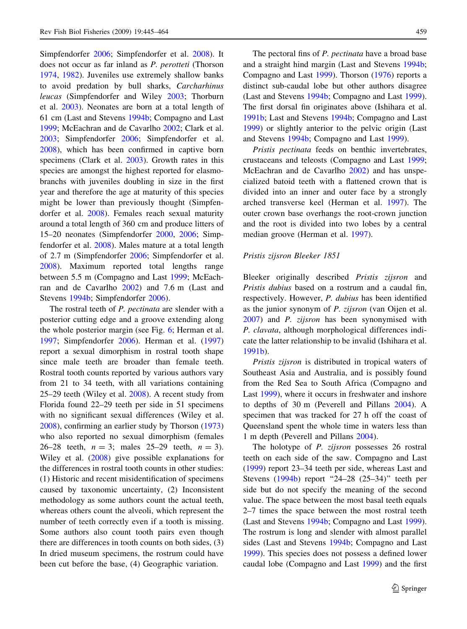Simpfendorfer [2006;](#page-18-0) Simpfendorfer et al. [2008\)](#page-18-0). It does not occur as far inland as P. perotteti (Thorson [1974,](#page-18-0) [1982\)](#page-18-0). Juveniles use extremely shallow banks to avoid predation by bull sharks, Carcharhinus leucas (Simpfendorfer and Wiley [2003;](#page-18-0) Thorburn et al. [2003](#page-18-0)). Neonates are born at a total length of 61 cm (Last and Stevens [1994b](#page-17-0); Compagno and Last [1999;](#page-16-0) McEachran and de Cavarlho [2002](#page-17-0); Clark et al. [2003;](#page-16-0) Simpfendorfer [2006](#page-18-0); Simpfendorfer et al. [2008\)](#page-18-0), which has been confirmed in captive born specimens (Clark et al. [2003\)](#page-16-0). Growth rates in this species are amongst the highest reported for elasmobranchs with juveniles doubling in size in the first year and therefore the age at maturity of this species might be lower than previously thought (Simpfendorfer et al. [2008\)](#page-18-0). Females reach sexual maturity around a total length of 360 cm and produce litters of 15–20 neonates (Simpfendorfer [2000,](#page-18-0) [2006](#page-18-0); Simpfendorfer et al. [2008](#page-18-0)). Males mature at a total length of 2.7 m (Simpfendorfer [2006](#page-18-0); Simpfendorfer et al. [2008\)](#page-18-0). Maximum reported total lengths range between 5.5 m (Compagno and Last [1999](#page-16-0); McEachran and de Cavarlho [2002\)](#page-17-0) and 7.6 m (Last and Stevens [1994b](#page-17-0); Simpfendorfer [2006\)](#page-18-0).

The rostral teeth of P. pectinata are slender with a posterior cutting edge and a groove extending along the whole posterior margin (see Fig. [6;](#page-10-0) Herman et al. [1997;](#page-16-0) Simpfendorfer [2006\)](#page-18-0). Herman et al. ([1997\)](#page-16-0) report a sexual dimorphism in rostral tooth shape since male teeth are broader than female teeth. Rostral tooth counts reported by various authors vary from 21 to 34 teeth, with all variations containing 25–29 teeth (Wiley et al. [2008](#page-18-0)). A recent study from Florida found 22–29 teeth per side in 51 specimens with no significant sexual differences (Wiley et al. [2008\)](#page-18-0), confirming an earlier study by Thorson ([1973\)](#page-18-0) who also reported no sexual dimorphism (females 26–28 teeth,  $n = 3$ ; males 25–29 teeth,  $n = 3$ ). Wiley et al. ([2008\)](#page-18-0) give possible explanations for the differences in rostral tooth counts in other studies: (1) Historic and recent misidentification of specimens caused by taxonomic uncertainty, (2) Inconsistent methodology as some authors count the actual teeth, whereas others count the alveoli, which represent the number of teeth correctly even if a tooth is missing. Some authors also count tooth pairs even though there are differences in tooth counts on both sides, (3) In dried museum specimens, the rostrum could have been cut before the base, (4) Geographic variation.

The pectoral fins of P. pectinata have a broad base and a straight hind margin (Last and Stevens [1994b](#page-17-0); Compagno and Last [1999\)](#page-16-0). Thorson ([1976](#page-18-0)) reports a distinct sub-caudal lobe but other authors disagree (Last and Stevens [1994b;](#page-17-0) Compagno and Last [1999](#page-16-0)). The first dorsal fin originates above (Ishihara et al. [1991b;](#page-17-0) Last and Stevens [1994b;](#page-17-0) Compagno and Last [1999\)](#page-16-0) or slightly anterior to the pelvic origin (Last and Stevens [1994b](#page-17-0); Compagno and Last [1999\)](#page-16-0).

Pristis pectinata feeds on benthic invertebrates, crustaceans and teleosts (Compagno and Last [1999](#page-16-0); McEachran and de Cavarlho [2002](#page-17-0)) and has unspecialized batoid teeth with a flattened crown that is divided into an inner and outer face by a strongly arched transverse keel (Herman et al. [1997\)](#page-16-0). The outer crown base overhangs the root-crown junction and the root is divided into two lobes by a central median groove (Herman et al. [1997](#page-16-0)).

#### Pristis zijsron Bleeker 1851

Bleeker originally described Pristis zijsron and Pristis dubius based on a rostrum and a caudal fin, respectively. However, P. dubius has been identified as the junior synonym of P. zijsron (van Oijen et al. [2007\)](#page-18-0) and P. zijsron has been synonymised with P. clavata, although morphological differences indicate the latter relationship to be invalid (Ishihara et al. [1991b\)](#page-17-0).

Pristis zijsron is distributed in tropical waters of Southeast Asia and Australia, and is possibly found from the Red Sea to South Africa (Compagno and Last [1999\)](#page-16-0), where it occurs in freshwater and inshore to depths of 30 m (Peverell and Pillans [2004](#page-17-0)). A specimen that was tracked for 27 h off the coast of Queensland spent the whole time in waters less than 1 m depth (Peverell and Pillans [2004\)](#page-17-0).

The holotype of P. zijsron possesses 26 rostral teeth on each side of the saw. Compagno and Last [\(1999](#page-16-0)) report 23–34 teeth per side, whereas Last and Stevens [\(1994b](#page-17-0)) report ''24–28 (25–34)'' teeth per side but do not specify the meaning of the second value. The space between the most basal teeth equals 2–7 times the space between the most rostral teeth (Last and Stevens [1994b;](#page-17-0) Compagno and Last [1999](#page-16-0)). The rostrum is long and slender with almost parallel sides (Last and Stevens [1994b;](#page-17-0) Compagno and Last [1999\)](#page-16-0). This species does not possess a defined lower caudal lobe (Compagno and Last [1999](#page-16-0)) and the first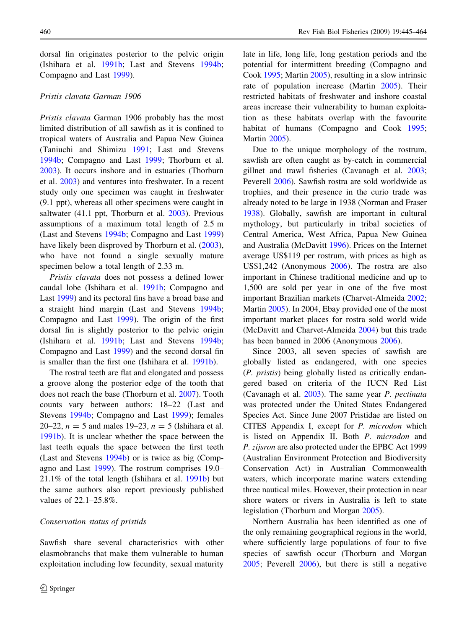dorsal fin originates posterior to the pelvic origin (Ishihara et al. [1991b](#page-17-0); Last and Stevens [1994b](#page-17-0); Compagno and Last [1999](#page-16-0)).

## Pristis clavata Garman 1906

Pristis clavata Garman 1906 probably has the most limited distribution of all sawfish as it is confined to tropical waters of Australia and Papua New Guinea (Taniuchi and Shimizu [1991](#page-18-0); Last and Stevens [1994b;](#page-17-0) Compagno and Last [1999;](#page-16-0) Thorburn et al. [2003\)](#page-18-0). It occurs inshore and in estuaries (Thorburn et al. [2003](#page-18-0)) and ventures into freshwater. In a recent study only one specimen was caught in freshwater (9.1 ppt), whereas all other specimens were caught in saltwater (41.1 ppt, Thorburn et al. [2003](#page-18-0)). Previous assumptions of a maximum total length of 2.5 m (Last and Stevens [1994b;](#page-17-0) Compagno and Last [1999\)](#page-16-0) have likely been disproved by Thorburn et al. [\(2003](#page-18-0)), who have not found a single sexually mature specimen below a total length of 2.33 m.

Pristis clavata does not possess a defined lower caudal lobe (Ishihara et al. [1991b;](#page-17-0) Compagno and Last [1999\)](#page-16-0) and its pectoral fins have a broad base and a straight hind margin (Last and Stevens [1994b](#page-17-0); Compagno and Last [1999\)](#page-16-0). The origin of the first dorsal fin is slightly posterior to the pelvic origin (Ishihara et al. [1991b](#page-17-0); Last and Stevens [1994b](#page-17-0); Compagno and Last [1999\)](#page-16-0) and the second dorsal fin is smaller than the first one (Ishihara et al. [1991b\)](#page-17-0).

The rostral teeth are flat and elongated and possess a groove along the posterior edge of the tooth that does not reach the base (Thorburn et al. [2007\)](#page-18-0). Tooth counts vary between authors: 18–22 (Last and Stevens [1994b;](#page-17-0) Compagno and Last [1999\)](#page-16-0); females 20–22,  $n = 5$  and males 19–23,  $n = 5$  (Ishihara et al. [1991b\)](#page-17-0). It is unclear whether the space between the last teeth equals the space between the first teeth (Last and Stevens [1994b\)](#page-17-0) or is twice as big (Compagno and Last [1999](#page-16-0)). The rostrum comprises 19.0– 21.1% of the total length (Ishihara et al. [1991b](#page-17-0)) but the same authors also report previously published values of 22.1–25.8%.

## Conservation status of pristids

Sawfish share several characteristics with other elasmobranchs that make them vulnerable to human exploitation including low fecundity, sexual maturity late in life, long life, long gestation periods and the potential for intermittent breeding (Compagno and Cook [1995;](#page-16-0) Martin [2005\)](#page-17-0), resulting in a slow intrinsic rate of population increase (Martin [2005](#page-17-0)). Their restricted habitats of freshwater and inshore coastal areas increase their vulnerability to human exploitation as these habitats overlap with the favourite habitat of humans (Compagno and Cook [1995](#page-16-0); Martin [2005](#page-17-0)).

Due to the unique morphology of the rostrum, sawfish are often caught as by-catch in commercial gillnet and trawl fisheries (Cavanagh et al. [2003](#page-16-0); Peverell [2006\)](#page-17-0). Sawfish rostra are sold worldwide as trophies, and their presence in the curio trade was already noted to be large in 1938 (Norman and Fraser [1938\)](#page-17-0). Globally, sawfish are important in cultural mythology, but particularly in tribal societies of Central America, West Africa, Papua New Guinea and Australia (McDavitt [1996\)](#page-17-0). Prices on the Internet average US\$119 per rostrum, with prices as high as US\$1,242 (Anonymous [2006](#page-16-0)). The rostra are also important in Chinese traditional medicine and up to 1,500 are sold per year in one of the five most important Brazilian markets (Charvet-Almeida [2002](#page-16-0); Martin [2005](#page-17-0)). In 2004, Ebay provided one of the most important market places for rostra sold world wide (McDavitt and Charvet-Almeida [2004](#page-17-0)) but this trade has been banned in 2006 (Anonymous [2006\)](#page-16-0).

Since 2003, all seven species of sawfish are globally listed as endangered, with one species (P. pristis) being globally listed as critically endangered based on criteria of the IUCN Red List (Cavanagh et al. [2003](#page-16-0)). The same year P. pectinata was protected under the United States Endangered Species Act. Since June 2007 Pristidae are listed on CITES Appendix I, except for P. microdon which is listed on Appendix II. Both P. microdon and P. zijsron are also protected under the EPBC Act 1999 (Australian Environment Protection and Biodiversity Conservation Act) in Australian Commonwealth waters, which incorporate marine waters extending three nautical miles. However, their protection in near shore waters or rivers in Australia is left to state legislation (Thorburn and Morgan [2005\)](#page-18-0).

Northern Australia has been identified as one of the only remaining geographical regions in the world, where sufficiently large populations of four to five species of sawfish occur (Thorburn and Morgan [2005;](#page-18-0) Peverell [2006\)](#page-17-0), but there is still a negative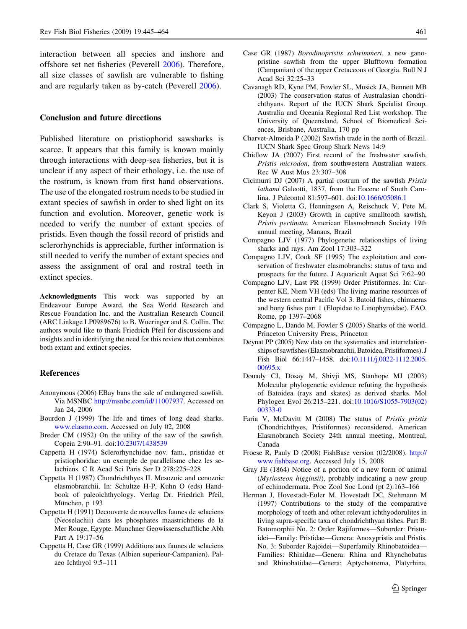<span id="page-16-0"></span>interaction between all species and inshore and offshore set net fisheries (Peverell [2006\)](#page-17-0). Therefore, all size classes of sawfish are vulnerable to fishing and are regularly taken as by-catch (Peverell [2006\)](#page-17-0).

# Conclusion and future directions

Published literature on pristiophorid sawsharks is scarce. It appears that this family is known mainly through interactions with deep-sea fisheries, but it is unclear if any aspect of their ethology, i.e. the use of the rostrum, is known from first hand observations. The use of the elongated rostrum needs to be studied in extant species of sawfish in order to shed light on its function and evolution. Moreover, genetic work is needed to verify the number of extant species of pristids. Even though the fossil record of pristids and sclerorhynchids is appreciable, further information is still needed to verify the number of extant species and assess the assignment of oral and rostral teeth in extinct species.

Acknowledgments This work was supported by an Endeavour Europe Award, the Sea World Research and Rescue Foundation Inc. and the Australian Research Council (ARC Linkage LP0989676) to B. Wueringer and S. Collin. The authors would like to thank Friedrich Pfeil for discussions and insights and in identifying the need for this review that combines both extant and extinct species.

### References

- Anonymous (2006) EBay bans the sale of endangered sawfish. Via MSNBC [http://msnbc.com/id/11007937.](http://msnbc.com/id/11007937) Accessed on Jan 24, 2006
- Bourdon J (1999) The life and times of long dead sharks. [www.elasmo.com](http://www.elasmo.com). Accessed on July 02, 2008
- Breder CM (1952) On the utility of the saw of the sawfish. Copeia 2:90–91. doi:[10.2307/1438539](http://dx.doi.org/10.2307/1438539)
- Cappetta H (1974) Sclerorhynchidae nov. fam., pristidae et pristiophoridae: un exemple de parallelisme chez les selachiens. C R Acad Sci Paris Ser D 278:225–228
- Cappetta H (1987) Chondrichthyes II. Mesozoic and cenozoic elasmobranchii. In: Schultze H-P, Kuhn O (eds) Handbook of paleoichthyology. Verlag Dr. Friedrich Pfeil, München, p 193
- Cappetta H (1991) Decouverte de nouvelles faunes de selaciens (Neoselachii) dans les phosphates maastrichtiens de la Mer Rouge, Egypte. Munchner Geowissenschaftliche Abh Part A 19:17–56
- Cappetta H, Case GR (1999) Additions aux faunes de selaciens du Cretace du Texas (Albien superieur-Campanien). Palaeo Ichthyol 9:5–111
- Case GR (1987) Borodinopristis schwimmeri, a new ganopristine sawfish from the upper Blufftown formation (Campanian) of the upper Cretaceous of Georgia. Bull N J Acad Sci 32:25–33
- Cavanagh RD, Kyne PM, Fowler SL, Musick JA, Bennett MB (2003) The conservation status of Australasian chondrichthyans. Report of the IUCN Shark Spcialist Group. Australia and Oceania Regional Red List workshop. The University of Queensland, School of Biomedical Sciences, Brisbane, Australia, 170 pp
- Charvet-Almeida P (2002) Sawfish trade in the north of Brazil. IUCN Shark Spec Group Shark News 14:9
- Chidlow JA (2007) First record of the freshwater sawfish, Pristis microdon, from southwestern Australian waters. Rec W Aust Mus 23:307–308
- Cicimurri DJ (2007) A partial rostrum of the sawfish Pristis lathami Galeotti, 1837, from the Eocene of South Carolina. J Paleontol 81:597–601. doi[:10.1666/05086.1](http://dx.doi.org/10.1666/05086.1)
- Clark S, Violetta G, Henningsen A, Reischuck V, Pete M, Keyon J (2003) Growth in captive smalltooth sawfish, Pristis pectinata. American Elasmobranch Society 19th annual meeting, Manaus, Brazil
- Compagno LJV (1977) Phylogenetic relationships of living sharks and rays. Am Zool 17:303–322
- Compagno LJV, Cook SF (1995) The exploitation and conservation of freshwater elasmobranchs: status of taxa and prospects for the future. J Aquaricult Aquat Sci 7:62–90
- Compagno LJV, Last PR (1999) Order Pristiformes. In: Carpenter KE, Niem VH (eds) The living marine resources of the western central Pacific Vol 3. Batoid fishes, chimaeras and bony fishes part 1 (Elopidae to Linophyroidae). FAO, Rome, pp 1397–2068
- Compagno L, Dando M, Fowler S (2005) Sharks of the world. Princeton University Press, Princeton
- Deynat PP (2005) New data on the systematics and interrelationships of sawfishes (Elasmobranchii, Batoidea, Pristiformes). J Fish Biol 66:1447–1458. doi[:10.1111/j.0022-1112.2005.](http://dx.doi.org/10.1111/j.0022-1112.2005.00695.x) 00695 x
- Douady CJ, Dosay M, Shivji MS, Stanhope MJ (2003) Molecular phylogenetic evidence refuting the hypothesis of Batoidea (rays and skates) as derived sharks. Mol Phylogen Evol 26:215–221. doi:[10.1016/S1055-7903\(02\)](http://dx.doi.org/10.1016/S1055-7903(02)00333-0) [00333-0](http://dx.doi.org/10.1016/S1055-7903(02)00333-0)
- Faria V, McDavitt M (2008) The status of Pristis pristis (Chondrichthyes, Pristiformes) reconsidered. American Elasmobranch Society 24th annual meeting, Montreal, Canada
- Froese R, Pauly D (2008) FishBase version (02/2008). [http://](http://www.fishbase.org) [www.fishbase.org.](http://www.fishbase.org) Accessed July 15, 2008
- Gray JE (1864) Notice of a portion of a new form of animal (Myriosteon higginsii), probably indicating a new group of echinodermata. Proc Zool Soc Lond (pt 2):163–166
- Herman J, Hovestadt-Euler M, Hovestadt DC, Stehmann M (1997) Contributions to the study of the comparative morphology of teeth and other relevant ichthyodorulites in living supra-specific taxa of chondrichthyan fishes. Part B: Batomorphii No. 2: Order Rajiformes—Suborder: Pristoidei—Family: Pristidae—Genera: Anoxypristis and Pristis. No. 3: Suborder Rajoidei—Superfamily Rhinobatoidea— Families: Rhinidae—Genera: Rhina and Rhynchobatus and Rhinobatidae—Genera: Aptychotrema, Platyrhina,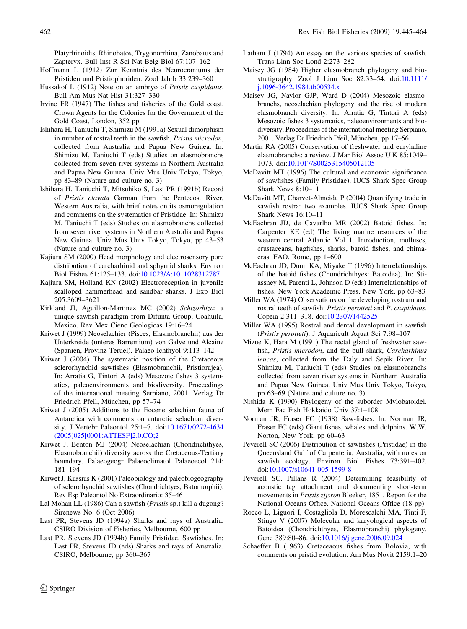<span id="page-17-0"></span>Platyrhinoidis, Rhinobatos, Trygonorrhina, Zanobatus and Zapteryx. Bull Inst R Sci Nat Belg Biol 67:107–162

- Hoffmann L (1912) Zur Kenntnis des Neurocraniums der Pristiden und Pristiophoriden. Zool Jahrb 33:239–360
- Hussakof L (1912) Note on an embryo of Pristis cuspidatus. Bull Am Mus Nat Hist 31:327–330
- Irvine FR (1947) The fishes and fisheries of the Gold coast. Crown Agents for the Colonies for the Government of the Gold Coast, London, 352 pp
- Ishihara H, Taniuchi T, Shimizu M (1991a) Sexual dimorphism in number of rostral teeth in the sawfish, Pristis microdon, collected from Australia and Papua New Guinea. In: Shimizu M, Taniuchi T (eds) Studies on elasmobranchs collected from seven river systems in Northern Australia and Papua New Guinea. Univ Mus Univ Tokyo, Tokyo, pp 83–89 (Nature and culture no. 3)
- Ishihara H, Taniuchi T, Mitsuhiko S, Last PR (1991b) Record of Pristis clavata Garman from the Pentecost River, Western Australia, with brief notes on its osmoregulation and comments on the systematics of Pristidae. In: Shimizu M, Taniuchi T (eds) Studies on elasmobranchs collected from seven river systems in Northern Australia and Papua New Guinea. Univ Mus Univ Tokyo, Tokyo, pp 43–53 (Nature and culture no. 3)
- Kajiura SM (2000) Head morphology and electrosensory pore distribution of carcharhinid and sphyrnid sharks. Environ Biol Fishes 61:125–133. doi[:10.1023/A:1011028312787](http://dx.doi.org/10.1023/A:1011028312787)
- Kajiura SM, Holland KN (2002) Electroreception in juvenile scalloped hammerhead and sandbar sharks. J Exp Biol 205:3609–3621
- Kirkland JI, Aguillon-Martinez MC (2002) Schizorhiza: a unique sawfish paradigm from Difunta Group, Coahuila, Mexico. Rev Mex Cienc Geologicas 19:16–24
- Kriwet J (1999) Neoselachier (Pisces, Elasmobranchii) aus der Unterkreide (unteres Barremium) von Galve und Alcaine (Spanien, Provinz Teruel). Palaeo Ichthyol 9:113–142
- Kriwet J (2004) The systematic position of the Cretaceous sclerorhynchid sawfishes (Elasmobranchii, Pristiorajea). In: Arratia G, Tintori A (eds) Mesozoic fishes 3 systematics, paleoenvironments and biodiversity. Proceedings of the international meeting Serpiano, 2001. Verlag Dr Friedrich Pfeil, München, pp 57-74
- Kriwet J (2005) Additions to the Eocene selachian fauna of Antarctica with comments on antarctic selachian diversity. J Vertebr Paleontol 25:1–7. doi:[10.1671/0272-4634](http://dx.doi.org/10.1671/0272-4634(2005)025[0001:ATTESF]2.0.CO;2) [\(2005\)025\[0001:ATTESF\]2.0.CO;2](http://dx.doi.org/10.1671/0272-4634(2005)025[0001:ATTESF]2.0.CO;2)
- Kriwet J, Benton MJ (2004) Neoselachian (Chondrichthyes, Elasmobranchii) diversity across the Cretaceous-Tertiary boundary. Palaeogeogr Palaeoclimatol Palaeoecol 214: 181–194
- Kriwet J, Kussius K (2001) Paleobiology and paleobiogeography of sclerorhynchid sawfishes (Chondrichtyes, Batomorphii). Rev Esp Paleontol No Extraordinario: 35–46
- Lal Mohan LL (1986) Can a sawfish (Pristis sp.) kill a dugong? Sirenews No. 6 (Oct 2006)
- Last PR, Stevens JD (1994a) Sharks and rays of Australia. CSIRO Division of Fisheries, Melbourne, 600 pp
- Last PR, Stevens JD (1994b) Family Pristidae. Sawfishes. In: Last PR, Stevens JD (eds) Sharks and rays of Australia. CSIRO, Melbourne, pp 360–367
- Latham J (1794) An essay on the various species of sawfish. Trans Linn Soc Lond 2:273–282
- Maisey JG (1984) Higher elasmobranch phylogeny and biostratigraphy. Zool J Linn Soc 82:33–54. doi[:10.1111/](http://dx.doi.org/10.1111/j.1096-3642.1984.tb00534.x) [j.1096-3642.1984.tb00534.x](http://dx.doi.org/10.1111/j.1096-3642.1984.tb00534.x)
- Maisey JG, Naylor GJP, Ward D (2004) Mesozoic elasmobranchs, neoselachian phylogeny and the rise of modern elasmobranch diversity. In: Arratia G, Tintori A (eds) Mesozoic fishes 3 systematics, paleoenvironments and biodiversity. Proceedings of the international meeting Serpiano, 2001. Verlag Dr Friedrich Pfeil, München, pp 17–56
- Martin RA (2005) Conservation of freshwater and euryhaline elasmobranchs: a review. J Mar Biol Assoc U K 85:1049– 1073. doi[:10.1017/S0025315405012105](http://dx.doi.org/10.1017/S0025315405012105)
- McDavitt MT (1996) The cultural and economic significance of sawfishes (Family Pristidae). IUCS Shark Spec Group Shark News 8:10–11
- McDavitt MT, Charvet-Almeida P (2004) Quantifying trade in sawfish rostra: two examples. IUCS Shark Spec Group Shark News 16:10–11
- McEachran JD, de Cavarlho MR (2002) Batoid fishes. In: Carpenter KE (ed) The living marine resources of the western central Atlantic Vol 1. Introduction, molluscs, crustaceans, hagfishes, sharks, batoid fishes, and chimaeras. FAO, Rome, pp 1–600
- McEachran JD, Dunn KA, Miyake T (1996) Interrelationships of the batoid fishes (Chondrichthyes: Batoidea). In: Stiassney M, Parenti L, Johnson D (eds) Interrelationships of fishes. New York Academic Press, New York, pp 63–83
- Miller WA (1974) Observations on the developing rostrum and rostral teeth of sawfish: Pristis perotteti and P. cuspidatus. Copeia 2:311–318. doi[:10.2307/1442525](http://dx.doi.org/10.2307/1442525)
- Miller WA (1995) Rostral and dental development in sawfish (Pristis perotteti). J Aquaricult Aquat Sci 7:98–107
- Mizue K, Hara M (1991) The rectal gland of freshwater sawfish, Pristis microdon, and the bull shark, Carcharhinus leucas, collected from the Daly and Sepik River. In: Shimizu M, Taniuchi T (eds) Studies on elasmobranchs collected from seven river systems in Northern Australia and Papua New Guinea. Univ Mus Univ Tokyo, Tokyo, pp 63–69 (Nature and culture no. 3)
- Nishida K (1990) Phylogeny of the suborder Mylobatoidei. Mem Fac Fish Hokkaido Univ 37:1–108
- Norman JR, Fraser FC (1938) Saw-fishes. In: Norman JR, Fraser FC (eds) Giant fishes, whales and dolphins. W.W. Norton, New York, pp 60–63
- Peverell SC (2006) Distribution of sawfishes (Pristidae) in the Queensland Gulf of Carpenteria, Australia, with notes on sawfish ecology. Environ Biol Fishes 73:391–402. doi[:10.1007/s10641-005-1599-8](http://dx.doi.org/10.1007/s10641-005-1599-8)
- Peverell SC, Pillans R (2004) Determining feasibility of acoustic tag attachment and documenting short-term movements in Pristis zijsron Bleeker, 1851. Report for the National Oceans Office. National Oceans Office (18 pp)
- Rocco L, Liguori I, Costagliola D, Morescalchi MA, Tinti F, Stingo V (2007) Molecular and karyological aspects of Batoidea (Chondrichthyes, Elasmobranchi) phylogeny. Gene 389:80–86. doi[:10.1016/j.gene.2006.09.024](http://dx.doi.org/10.1016/j.gene.2006.09.024)
- Schaeffer B (1963) Cretaceaous fishes from Bolovia, with comments on pristid evolution. Am Mus Novit 2159:1–20

 $\circledcirc$  Springer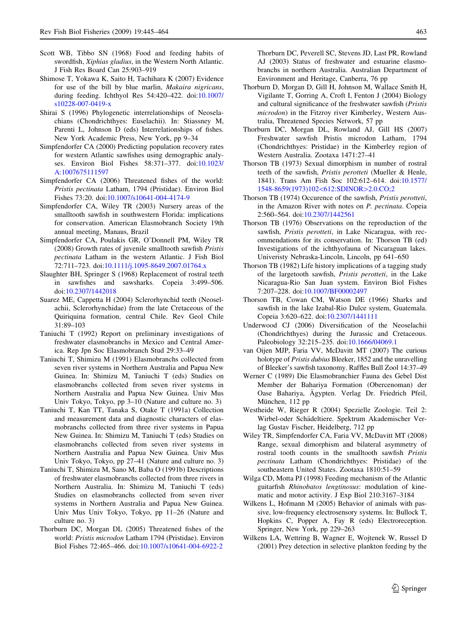- <span id="page-18-0"></span>Scott WB, Tibbo SN (1968) Food and feeding habits of swordfish, Xiphias gladius, in the Western North Atlantic. J Fish Res Board Can 25:903–919
- Shimose T, Yokawa K, Saito H, Tachihara K (2007) Evidence for use of the bill by blue marlin, Makaira nigricans, during feeding. Ichthyol Res 54:420–422. doi[:10.1007/](http://dx.doi.org/10.1007/s10228-007-0419-x) [s10228-007-0419-x](http://dx.doi.org/10.1007/s10228-007-0419-x)
- Shirai S (1996) Phylogenetic interrelationships of Neoselachians (Chondrichthyes: Euselachii). In: Stiassney M, Parenti L, Johnson D (eds) Interrelationships of fishes. New York Academic Press, New York, pp 9–34
- Simpfendorfer CA (2000) Predicting population recovery rates for western Atlantic sawfishes using demographic analyses. Environ Biol Fishes 58:371–377. doi[:10.1023/](http://dx.doi.org/10.1023/A:1007675111597) [A:1007675111597](http://dx.doi.org/10.1023/A:1007675111597)
- Simpfendorfer CA (2006) Threatened fishes of the world: Pristis pectinata Latham, 1794 (Pristidae). Environ Biol Fishes 73:20. doi:[10.1007/s10641-004-4174-9](http://dx.doi.org/10.1007/s10641-004-4174-9)
- Simpfendorfer CA, Wiley TR (2003) Nursery areas of the smalltooth sawfish in southwestern Florida: implications for conservation. American Elasmobranch Society 19th annual meeting, Manaus, Brazil
- Simpfendorfer CA, Poulakis GR, O'Donnell PM, Wiley TR (2008) Growth rates of juvenile smalltooth sawfish Pristis pectinata Latham in the western Atlantic. J Fish Biol 72:711–723. doi[:10.1111/j.1095-8649.2007.01764.x](http://dx.doi.org/10.1111/j.1095-8649.2007.01764.x)
- Slaughter BH, Springer S (1968) Replacement of rostral teeth in sawfishes and sawsharks. Copeia 3:499–506. doi[:10.2307/1442018](http://dx.doi.org/10.2307/1442018)
- Suarez ME, Cappetta H (2004) Sclerorhynchid teeth (Neoselachii, Sclerorhynchidae) from the late Cretaceous of the Quiriquina formation, central Chile. Rev Geol Chile 31:89–103
- Taniuchi T (1992) Report on preliminary investigations of freshwater elasmobranchs in Mexico and Central America. Rep Jpn Soc Elasmobranch Stud 29:33–49
- Taniuchi T, Shimizu M (1991) Elasmobranchs collected from seven river systems in Northern Australia and Papua New Guinea. In: Shimizu M, Taniuchi T (eds) Studies on elasmobranchs collected from seven river systems in Northern Australia and Papua New Guinea. Univ Mus Univ Tokyo, Tokyo, pp 3–10 (Nature and culture no. 3)
- Taniuchi T, Kan TT, Tanaka S, Otake T (1991a) Collection and measurement data and diagnostic characters of elasmobranchs collected from three river systems in Papua New Guinea. In: Shimizu M, Taniuchi T (eds) Studies on elasmobranchs collected from seven river systems in Northern Australia and Papua New Guinea. Univ Mus Univ Tokyo, Tokyo, pp 27–41 (Nature and culture no. 3)
- Taniuchi T, Shimizu M, Sano M, Baba O (1991b) Descriptions of freshwater elasmobranchs collected from three rivers in Northern Australia. In: Shimizu M, Taniuchi T (eds) Studies on elasmobranchs collected from seven river systems in Northern Australia and Papua New Guinea. Univ Mus Univ Tokyo, Tokyo, pp 11–26 (Nature and culture no. 3)
- Thorburn DC, Morgan DL (2005) Threatened fishes of the world: Pristis microdon Latham 1794 (Pristidae). Environ Biol Fishes 72:465–466. doi[:10.1007/s10641-004-6922-2](http://dx.doi.org/10.1007/s10641-004-6922-2)

Thorburn DC, Peverell SC, Stevens JD, Last PR, Rowland AJ (2003) Status of freshwater and estuarine elasmobranchs in northern Australia. Australian Department of Environment and Heritage, Canberra, 76 pp

- Thorburn D, Morgan D, Gill H, Johnson M, Wallace Smith H, Vigilante T, Gorring A, Croft I, Fenton J (2004) Biology and cultural significance of the freshwater sawfish (Pristis microdon) in the Fitzroy river Kimberley, Western Australia, Threatened Species Network, 57 pp
- Thorburn DC, Morgan DL, Rowland AJ, Gill HS (2007) Freshwater sawfish Pristis microdon Latham, 1794 (Chondrichthyes: Pristidae) in the Kimberley region of Western Australia. Zootaxa 1471:27–41
- Thorson TB (1973) Sexual dimorphism in number of rostral teeth of the sawfish, Pristis perotteti (Mueller & Henle, 1841). Trans Am Fish Soc 102:612–614. doi[:10.1577/](http://dx.doi.org/10.1577/1548-8659(1973)102%3c612:SDINOR%3e2.0.CO;2) [1548-8659\(1973\)102](http://dx.doi.org/10.1577/1548-8659(1973)102%3c612:SDINOR%3e2.0.CO;2)<612:SDINOR>2.0.CO;2
- Thorson TB (1974) Occurence of the sawfish, Pristis perotteti, in the Amazon River with notes on P. pectinata. Copeia 2:560–564. doi[:10.2307/1442561](http://dx.doi.org/10.2307/1442561)
- Thorson TB (1976) Observations on the reproduction of the sawfish, Pristis perotteti, in Lake Nicaragua, with recommendations for its conservation. In: Thorson TB (ed) Investigations of the ichthyofauna of Nicaraguan lakes. Univeristy Nebraska-Lincoln, Lincoln, pp 641–650
- Thorson TB (1982) Life history implications of a tagging study of the largetooth sawfish, Pristis perotteti, in the Lake Nicaragua-Rio San Juan system. Environ Biol Fishes 7:207–228. doi[:10.1007/BF00002497](http://dx.doi.org/10.1007/BF00002497)
- Thorson TB, Cowan CM, Watson DE (1966) Sharks and sawfish in the lake Izabal-Rio Dulce system, Guatemala. Copeia 3:620–622. doi[:10.2307/1441111](http://dx.doi.org/10.2307/1441111)
- Underwood CJ (2006) Diversification of the Neoselachii (Chondrichthyes) during the Jurassic and Cretaceous. Paleobiology 32:215–235. doi[:10.1666/04069.1](http://dx.doi.org/10.1666/04069.1)
- van Oijen MJP, Faria VV, McDavitt MT (2007) The curious holotype of Pristis dubius Bleeker, 1852 and the unravelling of Bleeker's sawfish taxonomy. Raffles Bull Zool 14:37–49
- Werner C (1989) Die Elasmobranchier Fauna des Gebel Dist Member der Bahariya Formation (Obercenoman) der Oase Bahariya, Agypten. Verlag Dr. Friedrich Pfeil, München, 112 pp
- Westheide W, Rieger R (2004) Spezielle Zoologie. Teil 2: Wirbel-oder Schädeltiere. Spektrum Akademischer Verlag Gustav Fischer, Heidelberg, 712 pp
- Wiley TR, Simpfendorfer CA, Faria VV, McDavitt MT (2008) Range, sexual dimorphism and bilateral asymmetry of rostral tooth counts in the smalltooth sawfish Pristis pectinata Latham (Chondrichthyes: Pristidae) of the southeastern United States. Zootaxa 1810:51–59
- Wilga CD, Motta PJ (1998) Feeding mechanism of the Atlantic guitarfish Rhinobatos lengtinosus: modulation of kinematic and motor activity. J Exp Biol 210:3167–3184
- Wilkens L, Hofmann M (2005) Behavior of animals with passive, low-frequency electrosensory systems. In: Bullock T, Hopkins C, Popper A, Fay R (eds) Electroreception. Springer, New York, pp 229–263
- Wilkens LA, Wettring B, Wagner E, Wojtenek W, Russel D (2001) Prey detection in selective plankton feeding by the